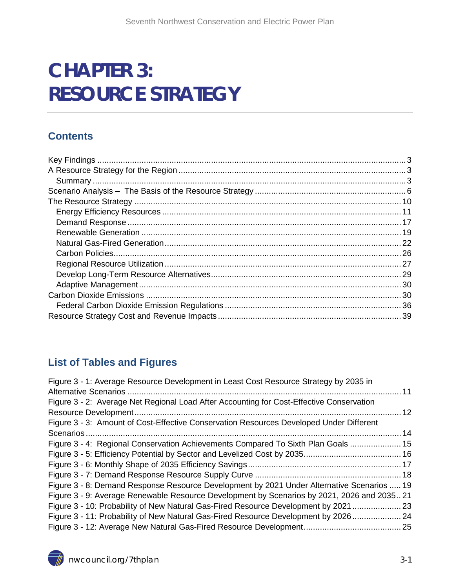# **CHAPTER 3: RESOURCE STRATEGY**

#### **Contents**

#### **List of Tables and Figures**

<span id="page-0-0"></span>

| Figure 3 - 1: Average Resource Development in Least Cost Resource Strategy by 2035 in      |  |
|--------------------------------------------------------------------------------------------|--|
| Figure 3 - 2: Average Net Regional Load After Accounting for Cost-Effective Conservation   |  |
|                                                                                            |  |
| Figure 3 - 3: Amount of Cost-Effective Conservation Resources Developed Under Different    |  |
|                                                                                            |  |
| Figure 3 - 4: Regional Conservation Achievements Compared To Sixth Plan Goals  15          |  |
|                                                                                            |  |
|                                                                                            |  |
|                                                                                            |  |
| Figure 3 - 8: Demand Response Resource Development by 2021 Under Alternative Scenarios  19 |  |
| Figure 3 - 9: Average Renewable Resource Development by Scenarios by 2021, 2026 and 203521 |  |
| Figure 3 - 10: Probability of New Natural Gas-Fired Resource Development by 2021  23       |  |
| Figure 3 - 11: Probability of New Natural Gas-Fired Resource Development by 2026 24        |  |
|                                                                                            |  |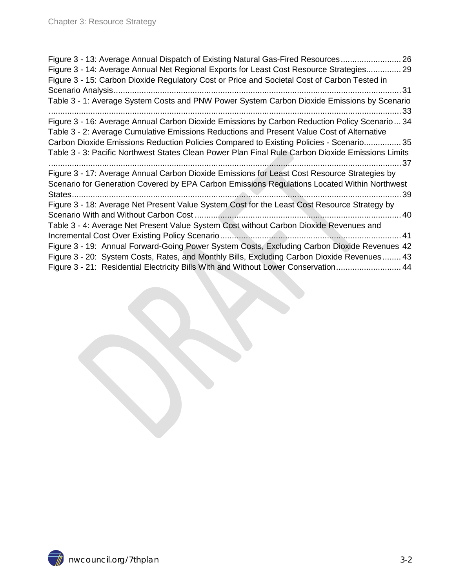| Figure 3 - 13: Average Annual Dispatch of Existing Natural Gas-Fired Resources<br>Figure 3 - 14: Average Annual Net Regional Exports for Least Cost Resource Strategies 29<br>Figure 3 - 15: Carbon Dioxide Regulatory Cost or Price and Societal Cost of Carbon Tested in                                                                                                   | 26 |
|------------------------------------------------------------------------------------------------------------------------------------------------------------------------------------------------------------------------------------------------------------------------------------------------------------------------------------------------------------------------------|----|
| Scenario Analysis.                                                                                                                                                                                                                                                                                                                                                           | 31 |
| Table 3 - 1: Average System Costs and PNW Power System Carbon Dioxide Emissions by Scenario                                                                                                                                                                                                                                                                                  | 33 |
| Figure 3 - 16: Average Annual Carbon Dioxide Emissions by Carbon Reduction Policy Scenario 34<br>Table 3 - 2: Average Cumulative Emissions Reductions and Present Value Cost of Alternative                                                                                                                                                                                  |    |
| Carbon Dioxide Emissions Reduction Policies Compared to Existing Policies - Scenario 35<br>Table 3 - 3: Pacific Northwest States Clean Power Plan Final Rule Carbon Dioxide Emissions Limits                                                                                                                                                                                 |    |
| Figure 3 - 17: Average Annual Carbon Dioxide Emissions for Least Cost Resource Strategies by<br>Scenario for Generation Covered by EPA Carbon Emissions Regulations Located Within Northwest<br>States                                                                                                                                                                       | 39 |
| Figure 3 - 18: Average Net Present Value System Cost for the Least Cost Resource Strategy by                                                                                                                                                                                                                                                                                 |    |
| Table 3 - 4: Average Net Present Value System Cost without Carbon Dioxide Revenues and<br>Figure 3 - 19: Annual Forward-Going Power System Costs, Excluding Carbon Dioxide Revenues 42<br>Figure 3 - 20: System Costs, Rates, and Monthly Bills, Excluding Carbon Dioxide Revenues 43<br>Figure 3 - 21: Residential Electricity Bills With and Without Lower Conservation 44 |    |
|                                                                                                                                                                                                                                                                                                                                                                              |    |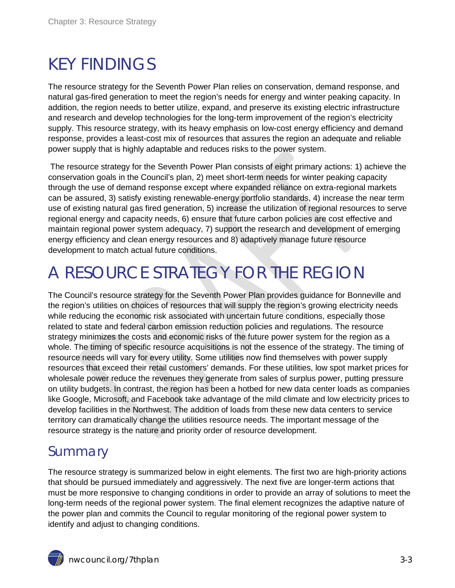## <span id="page-2-0"></span>KEY FINDINGS

The resource strategy for the Seventh Power Plan relies on conservation, demand response, and natural gas-fired generation to meet the region's needs for energy and winter peaking capacity. In addition, the region needs to better utilize, expand, and preserve its existing electric infrastructure and research and develop technologies for the long-term improvement of the region's electricity supply. This resource strategy, with its heavy emphasis on low-cost energy efficiency and demand response, provides a least-cost mix of resources that assures the region an adequate and reliable power supply that is highly adaptable and reduces risks to the power system.

The resource strategy for the Seventh Power Plan consists of eight primary actions: 1) achieve the conservation goals in the Council's plan, 2) meet short-term needs for winter peaking capacity through the use of demand response except where expanded reliance on extra-regional markets can be assured, 3) satisfy existing renewable-energy portfolio standards, 4) increase the near term use of existing natural gas fired generation, 5) increase the utilization of regional resources to serve regional energy and capacity needs, 6) ensure that future carbon policies are cost effective and maintain regional power system adequacy, 7) support the research and development of emerging energy efficiency and clean energy resources and 8) adaptively manage future resource development to match actual future conditions.

## <span id="page-2-1"></span>A RESOURCE STRATEGY FOR THE REGION

The Council's resource strategy for the Seventh Power Plan provides guidance for Bonneville and the region's utilities on choices of resources that will supply the region's growing electricity needs while reducing the economic risk associated with uncertain future conditions, especially those related to state and federal carbon emission reduction policies and regulations. The resource strategy minimizes the costs and economic risks of the future power system for the region as a whole. The timing of specific resource acquisitions is not the essence of the strategy. The timing of resource needs will vary for every utility. Some utilities now find themselves with power supply resources that exceed their retail customers' demands. For these utilities, low spot market prices for wholesale power reduce the revenues they generate from sales of surplus power, putting pressure on utility budgets. In contrast, the region has been a hotbed for new data center loads as companies like Google, Microsoft, and Facebook take advantage of the mild climate and low electricity prices to develop facilities in the Northwest. The addition of loads from these new data centers to service territory can dramatically change the utilities resource needs. The important message of the resource strategy is the nature and priority order of resource development.

#### <span id="page-2-2"></span>**Summary**

The resource strategy is summarized below in eight elements. The first two are high-priority actions that should be pursued immediately and aggressively. The next five are longer-term actions that must be more responsive to changing conditions in order to provide an array of solutions to meet the long-term needs of the regional power system. The final element recognizes the adaptive nature of the power plan and commits the Council to regular monitoring of the regional power system to identify and adjust to changing conditions.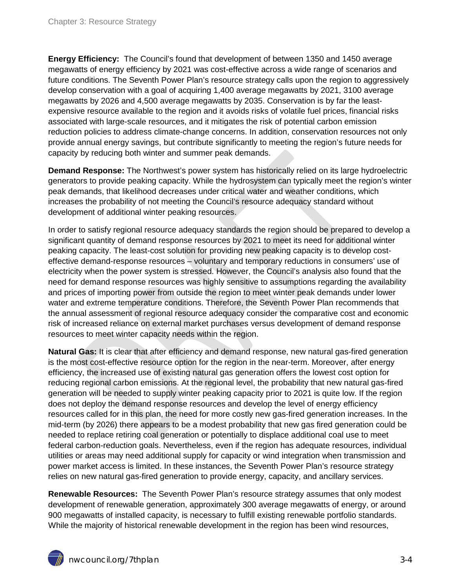**Energy Efficiency:** The Council's found that development of between 1350 and 1450 average megawatts of energy efficiency by 2021 was cost-effective across a wide range of scenarios and future conditions. The Seventh Power Plan's resource strategy calls upon the region to aggressively develop conservation with a goal of acquiring 1,400 average megawatts by 2021, 3100 average megawatts by 2026 and 4,500 average megawatts by 2035. Conservation is by far the leastexpensive resource available to the region and it avoids risks of volatile fuel prices, financial risks associated with large-scale resources, and it mitigates the risk of potential carbon emission reduction policies to address climate-change concerns. In addition, conservation resources not only provide annual energy savings, but contribute significantly to meeting the region's future needs for capacity by reducing both winter and summer peak demands.

**Demand Response:** The Northwest's power system has historically relied on its large hydroelectric generators to provide peaking capacity. While the hydrosystem can typically meet the region's winter peak demands, that likelihood decreases under critical water and weather conditions, which increases the probability of not meeting the Council's resource adequacy standard without development of additional winter peaking resources.

In order to satisfy regional resource adequacy standards the region should be prepared to develop a significant quantity of demand response resources by 2021 to meet its need for additional winter peaking capacity. The least-cost solution for providing new peaking capacity is to develop costeffective demand-response resources – voluntary and temporary reductions in consumers' use of electricity when the power system is stressed. However, the Council's analysis also found that the need for demand response resources was highly sensitive to assumptions regarding the availability and prices of importing power from outside the region to meet winter peak demands under lower water and extreme temperature conditions. Therefore, the Seventh Power Plan recommends that the annual assessment of regional resource adequacy consider the comparative cost and economic risk of increased reliance on external market purchases versus development of demand response resources to meet winter capacity needs within the region.

**Natural Gas:** It is clear that after efficiency and demand response, new natural gas-fired generation is the most cost-effective resource option for the region in the near-term. Moreover, after energy efficiency, the increased use of existing natural gas generation offers the lowest cost option for reducing regional carbon emissions. At the regional level, the probability that new natural gas-fired generation will be needed to supply winter peaking capacity prior to 2021 is quite low. If the region does not deploy the demand response resources and develop the level of energy efficiency resources called for in this plan, the need for more costly new gas-fired generation increases. In the mid-term (by 2026) there appears to be a modest probability that new gas fired generation could be needed to replace retiring coal generation or potentially to displace additional coal use to meet federal carbon-reduction goals. Nevertheless, even if the region has adequate resources, individual utilities or areas may need additional supply for capacity or wind integration when transmission and power market access is limited. In these instances, the Seventh Power Plan's resource strategy relies on new natural gas-fired generation to provide energy, capacity, and ancillary services.

**Renewable Resources:** The Seventh Power Plan's resource strategy assumes that only modest development of renewable generation, approximately 300 average megawatts of energy, or around 900 megawatts of installed capacity, is necessary to fulfill existing renewable portfolio standards. While the majority of historical renewable development in the region has been wind resources,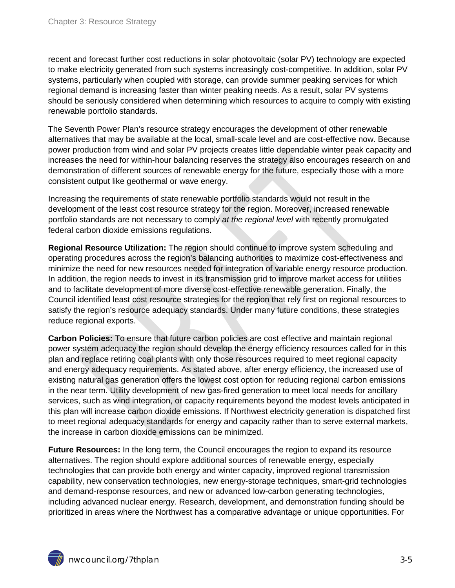recent and forecast further cost reductions in solar photovoltaic (solar PV) technology are expected to make electricity generated from such systems increasingly cost-competitive. In addition, solar PV systems, particularly when coupled with storage, can provide summer peaking services for which regional demand is increasing faster than winter peaking needs. As a result, solar PV systems should be seriously considered when determining which resources to acquire to comply with existing renewable portfolio standards.

The Seventh Power Plan's resource strategy encourages the development of other renewable alternatives that may be available at the local, small-scale level and are cost-effective now. Because power production from wind and solar PV projects creates little dependable winter peak capacity and increases the need for within-hour balancing reserves the strategy also encourages research on and demonstration of different sources of renewable energy for the future, especially those with a more consistent output like geothermal or wave energy.

Increasing the requirements of state renewable portfolio standards would not result in the development of the least cost resource strategy for the region. Moreover, increased renewable portfolio standards are not necessary to comply *at the regional level* with recently promulgated federal carbon dioxide emissions regulations.

**Regional Resource Utilization:** The region should continue to improve system scheduling and operating procedures across the region's balancing authorities to maximize cost-effectiveness and minimize the need for new resources needed for integration of variable energy resource production. In addition, the region needs to invest in its transmission grid to improve market access for utilities and to facilitate development of more diverse cost-effective renewable generation. Finally, the Council identified least cost resource strategies for the region that rely first on regional resources to satisfy the region's resource adequacy standards. Under many future conditions, these strategies reduce regional exports.

**Carbon Policies:** To ensure that future carbon policies are cost effective and maintain regional power system adequacy the region should develop the energy efficiency resources called for in this plan and replace retiring coal plants with only those resources required to meet regional capacity and energy adequacy requirements. As stated above, after energy efficiency, the increased use of existing natural gas generation offers the lowest cost option for reducing regional carbon emissions in the near term. Utility development of new gas-fired generation to meet local needs for ancillary services, such as wind integration, or capacity requirements beyond the modest levels anticipated in this plan will increase carbon dioxide emissions. If Northwest electricity generation is dispatched first to meet regional adequacy standards for energy and capacity rather than to serve external markets, the increase in carbon dioxide emissions can be minimized.

**Future Resources:** In the long term, the Council encourages the region to expand its resource alternatives. The region should explore additional sources of renewable energy, especially technologies that can provide both energy and winter capacity, improved regional transmission capability, new conservation technologies, new energy-storage techniques, smart-grid technologies and demand-response resources, and new or advanced low-carbon generating technologies, including advanced nuclear energy. Research, development, and demonstration funding should be prioritized in areas where the Northwest has a comparative advantage or unique opportunities. For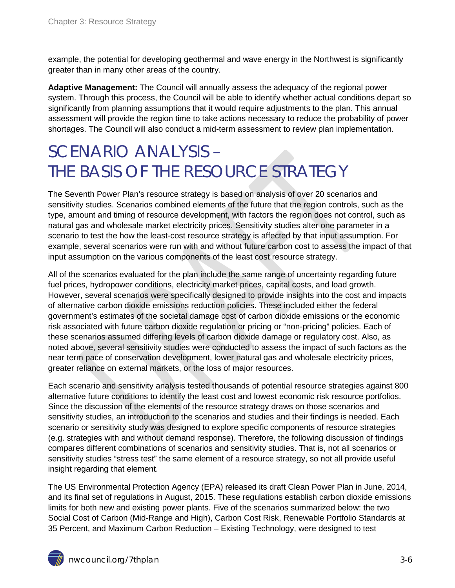example, the potential for developing geothermal and wave energy in the Northwest is significantly greater than in many other areas of the country.

**Adaptive Management:** The Council will annually assess the adequacy of the regional power system. Through this process, the Council will be able to identify whether actual conditions depart so significantly from planning assumptions that it would require adjustments to the plan. This annual assessment will provide the region time to take actions necessary to reduce the probability of power shortages. The Council will also conduct a mid-term assessment to review plan implementation.

### <span id="page-5-0"></span>SCENARIO ANALYSIS – THE BASIS OF THE RESOURCE STRATEGY

The Seventh Power Plan's resource strategy is based on analysis of over 20 scenarios and sensitivity studies. Scenarios combined elements of the future that the region controls, such as the type, amount and timing of resource development, with factors the region does not control, such as natural gas and wholesale market electricity prices. Sensitivity studies alter one parameter in a scenario to test the how the least-cost resource strategy is affected by that input assumption. For example, several scenarios were run with and without future carbon cost to assess the impact of that input assumption on the various components of the least cost resource strategy.

All of the scenarios evaluated for the plan include the same range of uncertainty regarding future fuel prices, hydropower conditions, electricity market prices, capital costs, and load growth. However, several scenarios were specifically designed to provide insights into the cost and impacts of alternative carbon dioxide emissions reduction policies. These included either the federal government's estimates of the societal damage cost of carbon dioxide emissions or the economic risk associated with future carbon dioxide regulation or pricing or "non-pricing" policies. Each of these scenarios assumed differing levels of carbon dioxide damage or regulatory cost. Also, as noted above, several sensitivity studies were conducted to assess the impact of such factors as the near term pace of conservation development, lower natural gas and wholesale electricity prices, greater reliance on external markets, or the loss of major resources.

Each scenario and sensitivity analysis tested thousands of potential resource strategies against 800 alternative future conditions to identify the least cost and lowest economic risk resource portfolios. Since the discussion of the elements of the resource strategy draws on those scenarios and sensitivity studies, an introduction to the scenarios and studies and their findings is needed. Each scenario or sensitivity study was designed to explore specific components of resource strategies (e.g. strategies with and without demand response). Therefore, the following discussion of findings compares different combinations of scenarios and sensitivity studies. That is, not all scenarios or sensitivity studies "stress test" the same element of a resource strategy, so not all provide useful insight regarding that element.

The US Environmental Protection Agency (EPA) released its draft Clean Power Plan in June, 2014, and its final set of regulations in August, 2015. These regulations establish carbon dioxide emissions limits for both new and existing power plants. Five of the scenarios summarized below: the two Social Cost of Carbon (Mid-Range and High), Carbon Cost Risk, Renewable Portfolio Standards at 35 Percent, and Maximum Carbon Reduction – Existing Technology, were designed to test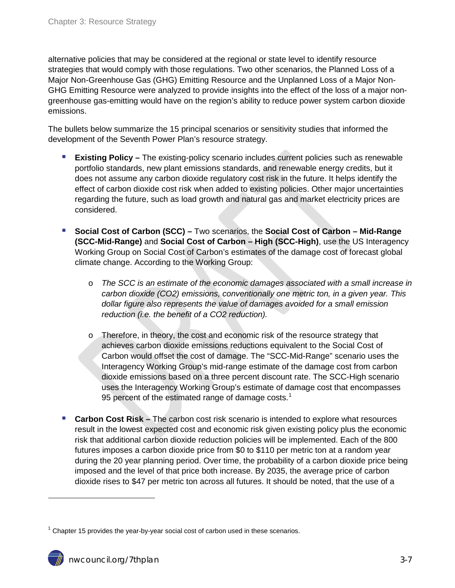alternative policies that may be considered at the regional or state level to identify resource strategies that would comply with those regulations. Two other scenarios, the Planned Loss of a Major Non-Greenhouse Gas (GHG) Emitting Resource and the Unplanned Loss of a Major Non-GHG Emitting Resource were analyzed to provide insights into the effect of the loss of a major nongreenhouse gas-emitting would have on the region's ability to reduce power system carbon dioxide emissions.

The bullets below summarize the 15 principal scenarios or sensitivity studies that informed the development of the Seventh Power Plan's resource strategy.

- **Existing Policy –** The existing-policy scenario includes current policies such as renewable portfolio standards, new plant emissions standards, and renewable energy credits, but it does not assume any carbon dioxide regulatory cost risk in the future. It helps identify the effect of carbon dioxide cost risk when added to existing policies. Other major uncertainties regarding the future, such as load growth and natural gas and market electricity prices are considered.
- **Social Cost of Carbon (SCC) –** Two scenarios, the **Social Cost of Carbon – Mid-Range (SCC-Mid-Range)** and **Social Cost of Carbon – High (SCC-High)**, use the US Interagency Working Group on Social Cost of Carbon's estimates of the damage cost of forecast global climate change. According to the Working Group:
	- o *The SCC is an estimate of the economic damages associated with a small increase in carbon dioxide (CO2) emissions, conventionally one metric ton, in a given year. This dollar figure also represents the value of damages avoided for a small emission reduction (i.e. the benefit of a CO2 reduction).*
	- o Therefore, in theory, the cost and economic risk of the resource strategy that achieves carbon dioxide emissions reductions equivalent to the Social Cost of Carbon would offset the cost of damage. The "SCC-Mid-Range" scenario uses the Interagency Working Group's mid-range estimate of the damage cost from carbon dioxide emissions based on a three percent discount rate. The SCC-High scenario uses the Interagency Working Group's estimate of damage cost that encompasses 95 percent of the estimated range of damage costs. $<sup>1</sup>$  $<sup>1</sup>$  $<sup>1</sup>$ </sup>
- **Carbon Cost Risk –** The carbon cost risk scenario is intended to explore what resources result in the lowest expected cost and economic risk given existing policy plus the economic risk that additional carbon dioxide reduction policies will be implemented. Each of the 800 futures imposes a carbon dioxide price from \$0 to \$110 per metric ton at a random year during the 20 year planning period. Over time, the probability of a carbon dioxide price being imposed and the level of that price both increase. By 2035, the average price of carbon dioxide rises to \$47 per metric ton across all futures. It should be noted, that the use of a

<span id="page-6-0"></span> $\overline{a}$ 

 $1$  Chapter 15 provides the year-by-year social cost of carbon used in these scenarios.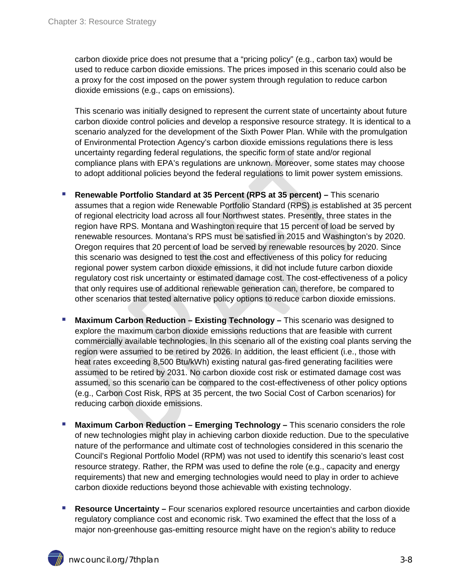carbon dioxide price does not presume that a "pricing policy" (e.g., carbon tax) would be used to reduce carbon dioxide emissions. The prices imposed in this scenario could also be a proxy for the cost imposed on the power system through regulation to reduce carbon dioxide emissions (e.g., caps on emissions).

This scenario was initially designed to represent the current state of uncertainty about future carbon dioxide control policies and develop a responsive resource strategy. It is identical to a scenario analyzed for the development of the Sixth Power Plan. While with the promulgation of Environmental Protection Agency's carbon dioxide emissions regulations there is less uncertainty regarding federal regulations, the specific form of state and/or regional compliance plans with EPA's regulations are unknown. Moreover, some states may choose to adopt additional policies beyond the federal regulations to limit power system emissions.

- **Renewable Portfolio Standard at 35 Percent (RPS at 35 percent) –** This scenario assumes that a region wide Renewable Portfolio Standard (RPS) is established at 35 percent of regional electricity load across all four Northwest states. Presently, three states in the region have RPS. Montana and Washington require that 15 percent of load be served by renewable resources. Montana's RPS must be satisfied in 2015 and Washington's by 2020. Oregon requires that 20 percent of load be served by renewable resources by 2020. Since this scenario was designed to test the cost and effectiveness of this policy for reducing regional power system carbon dioxide emissions, it did not include future carbon dioxide regulatory cost risk uncertainty or estimated damage cost. The cost-effectiveness of a policy that only requires use of additional renewable generation can, therefore, be compared to other scenarios that tested alternative policy options to reduce carbon dioxide emissions.
- **Maximum Carbon Reduction – Existing Technology –** This scenario was designed to explore the maximum carbon dioxide emissions reductions that are feasible with current commercially available technologies. In this scenario all of the existing coal plants serving the region were assumed to be retired by 2026. In addition, the least efficient (i.e., those with heat rates exceeding 8,500 Btu/kWh) existing natural gas-fired generating facilities were assumed to be retired by 2031. No carbon dioxide cost risk or estimated damage cost was assumed, so this scenario can be compared to the cost-effectiveness of other policy options (e.g., Carbon Cost Risk, RPS at 35 percent, the two Social Cost of Carbon scenarios) for reducing carbon dioxide emissions.
- **Maximum Carbon Reduction Emerging Technology –** This scenario considers the role of new technologies might play in achieving carbon dioxide reduction. Due to the speculative nature of the performance and ultimate cost of technologies considered in this scenario the Council's Regional Portfolio Model (RPM) was not used to identify this scenario's least cost resource strategy. Rather, the RPM was used to define the role (e.g., capacity and energy requirements) that new and emerging technologies would need to play in order to achieve carbon dioxide reductions beyond those achievable with existing technology.
- **Resource Uncertainty –** Four scenarios explored resource uncertainties and carbon dioxide regulatory compliance cost and economic risk. Two examined the effect that the loss of a major non-greenhouse gas-emitting resource might have on the region's ability to reduce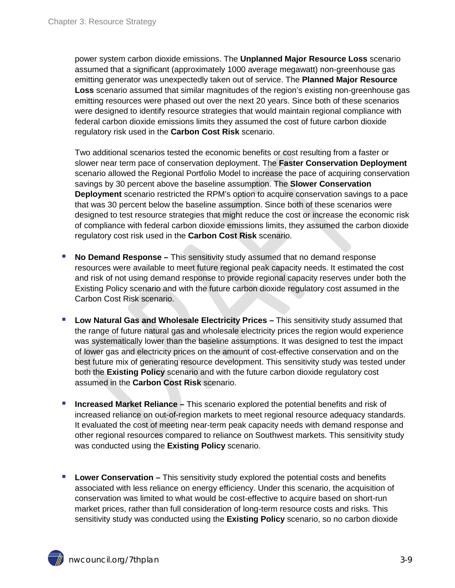power system carbon dioxide emissions. The **Unplanned Major Resource Loss** scenario assumed that a significant (approximately 1000 average megawatt) non-greenhouse gas emitting generator was unexpectedly taken out of service. The **Planned Major Resource Loss** scenario assumed that similar magnitudes of the region's existing non-greenhouse gas emitting resources were phased out over the next 20 years. Since both of these scenarios were designed to identify resource strategies that would maintain regional compliance with federal carbon dioxide emissions limits they assumed the cost of future carbon dioxide regulatory risk used in the **Carbon Cost Risk** scenario.

Two additional scenarios tested the economic benefits or cost resulting from a faster or slower near term pace of conservation deployment. The **Faster Conservation Deployment** scenario allowed the Regional Portfolio Model to increase the pace of acquiring conservation savings by 30 percent above the baseline assumption. The **Slower Conservation Deployment** scenario restricted the RPM's option to acquire conservation savings to a pace that was 30 percent below the baseline assumption. Since both of these scenarios were designed to test resource strategies that might reduce the cost or increase the economic risk of compliance with federal carbon dioxide emissions limits, they assumed the carbon dioxide regulatory cost risk used in the **Carbon Cost Risk** scenario.

- **No Demand Response** This sensitivity study assumed that no demand response resources were available to meet future regional peak capacity needs. It estimated the cost and risk of not using demand response to provide regional capacity reserves under both the Existing Policy scenario and with the future carbon dioxide regulatory cost assumed in the Carbon Cost Risk scenario.
- **Low Natural Gas and Wholesale Electricity Prices This sensitivity study assumed that** the range of future natural gas and wholesale electricity prices the region would experience was systematically lower than the baseline assumptions. It was designed to test the impact of lower gas and electricity prices on the amount of cost-effective conservation and on the best future mix of generating resource development. This sensitivity study was tested under both the **Existing Policy** scenario and with the future carbon dioxide regulatory cost assumed in the **Carbon Cost Risk** scenario.
- **Increased Market Reliance** This scenario explored the potential benefits and risk of increased reliance on out-of-region markets to meet regional resource adequacy standards. It evaluated the cost of meeting near-term peak capacity needs with demand response and other regional resources compared to reliance on Southwest markets. This sensitivity study was conducted using the **Existing Policy** scenario.
- **Lower Conservation –** This sensitivity study explored the potential costs and benefits associated with less reliance on energy efficiency. Under this scenario, the acquisition of conservation was limited to what would be cost-effective to acquire based on short-run market prices, rather than full consideration of long-term resource costs and risks. This sensitivity study was conducted using the **Existing Policy** scenario, so no carbon dioxide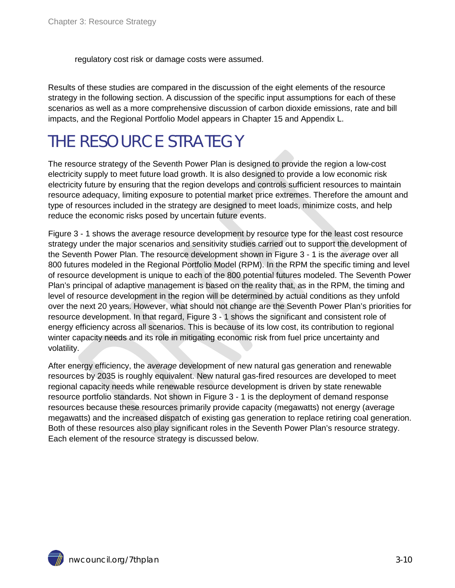regulatory cost risk or damage costs were assumed.

Results of these studies are compared in the discussion of the eight elements of the resource strategy in the following section. A discussion of the specific input assumptions for each of these scenarios as well as a more comprehensive discussion of carbon dioxide emissions, rate and bill impacts, and the Regional Portfolio Model appears in Chapter 15 and Appendix L.

### <span id="page-9-0"></span>THE RESOURCE STRATEGY

The resource strategy of the Seventh Power Plan is designed to provide the region a low-cost electricity supply to meet future load growth. It is also designed to provide a low economic risk electricity future by ensuring that the region develops and controls sufficient resources to maintain resource adequacy, limiting exposure to potential market price extremes. Therefore the amount and type of resources included in the strategy are designed to meet loads, minimize costs, and help reduce the economic risks posed by uncertain future events.

Figure 3 - 1 shows the average resource development by resource type for the least cost resource strategy under the major scenarios and sensitivity studies carried out to support the development of the Seventh Power Plan. The resource development shown in Figure 3 - 1 is the *average* over all 800 futures modeled in the Regional Portfolio Model (RPM). In the RPM the specific timing and level of resource development is unique to each of the 800 potential futures modeled. The Seventh Power Plan's principal of adaptive management is based on the reality that, as in the RPM, the timing and level of resource development in the region will be determined by actual conditions as they unfold over the next 20 years. However, what should not change are the Seventh Power Plan's priorities for resource development. In that regard, Figure 3 - 1 shows the significant and consistent role of energy efficiency across all scenarios. This is because of its low cost, its contribution to regional winter capacity needs and its role in mitigating economic risk from fuel price uncertainty and volatility.

After energy efficiency, the *average* development of new natural gas generation and renewable resources by 2035 is roughly equivalent. New natural gas-fired resources are developed to meet regional capacity needs while renewable resource development is driven by state renewable resource portfolio standards. Not shown in Figure 3 - 1 is the deployment of demand response resources because these resources primarily provide capacity (megawatts) not energy (average megawatts) and the increased dispatch of existing gas generation to replace retiring coal generation. Both of these resources also play significant roles in the Seventh Power Plan's resource strategy. Each element of the resource strategy is discussed below.

nwcouncil.org/7thplan 3-10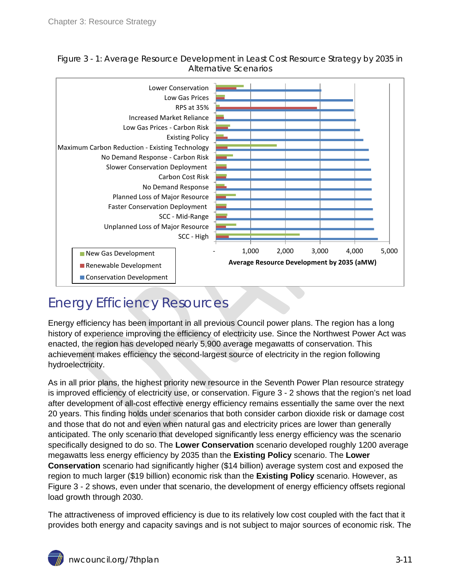

<span id="page-10-1"></span>Figure 3 - 1: Average Resource Development in Least Cost Resource Strategy by 2035 in Alternative Scenarios

### <span id="page-10-0"></span>Energy Efficiency Resources

Energy efficiency has been important in all previous Council power plans. The region has a long history of experience improving the efficiency of electricity use. Since the Northwest Power Act was enacted, the region has developed nearly 5,900 average megawatts of conservation. This achievement makes efficiency the second-largest source of electricity in the region following hydroelectricity.

As in all prior plans, the highest priority new resource in the Seventh Power Plan resource strategy is improved efficiency of electricity use, or conservation. Figure 3 - 2 shows that the region's net load after development of all-cost effective energy efficiency remains essentially the same over the next 20 years. This finding holds under scenarios that both consider carbon dioxide risk or damage cost and those that do not and even when natural gas and electricity prices are lower than generally anticipated. The only scenario that developed significantly less energy efficiency was the scenario specifically designed to do so. The **Lower Conservation** scenario developed roughly 1200 average megawatts less energy efficiency by 2035 than the **Existing Policy** scenario. The **Lower Conservation** scenario had significantly higher (\$14 billion) average system cost and exposed the region to much larger (\$19 billion) economic risk than the **Existing Policy** scenario. However, as Figure 3 - 2 shows, even under that scenario, the development of energy efficiency offsets regional load growth through 2030.

The attractiveness of improved efficiency is due to its relatively low cost coupled with the fact that it provides both energy and capacity savings and is not subject to major sources of economic risk. The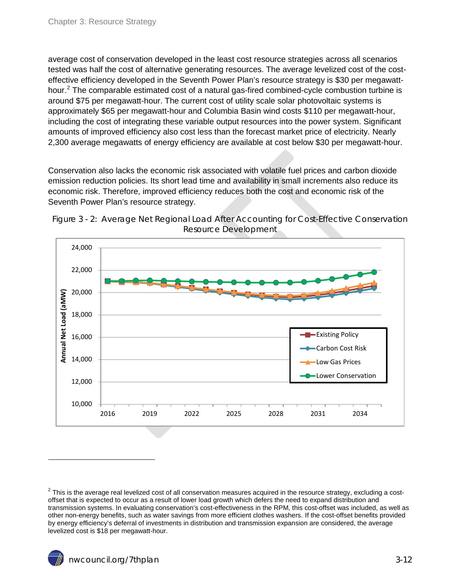average cost of conservation developed in the least cost resource strategies across all scenarios tested was half the cost of alternative generating resources. The average levelized cost of the costeffective efficiency developed in the Seventh Power Plan's resource strategy is \$30 per megawatthour. $^2$  $^2$  The comparable estimated cost of a natural gas-fired combined-cycle combustion turbine is around \$75 per megawatt-hour. The current cost of utility scale solar photovoltaic systems is approximately \$65 per megawatt-hour and Columbia Basin wind costs \$110 per megawatt-hour, including the cost of integrating these variable output resources into the power system. Significant amounts of improved efficiency also cost less than the forecast market price of electricity. Nearly 2,300 average megawatts of energy efficiency are available at cost below \$30 per megawatt-hour.

Conservation also lacks the economic risk associated with volatile fuel prices and carbon dioxide emission reduction policies. Its short lead time and availability in small increments also reduce its economic risk. Therefore, improved efficiency reduces both the cost and economic risk of the Seventh Power Plan's resource strategy.



<span id="page-11-0"></span>

 $\overline{a}$ 

<span id="page-11-1"></span> $2$  This is the average real levelized cost of all conservation measures acquired in the resource strategy, excluding a costoffset that is expected to occur as a result of lower load growth which defers the need to expand distribution and transmission systems. In evaluating conservation's cost-effectiveness in the RPM, this cost-offset was included, as well as other non-energy benefits, such as water savings from more efficient clothes washers. If the cost-offset benefits provided by energy efficiency's deferral of investments in distribution and transmission expansion are considered, the average levelized cost is \$18 per megawatt-hour.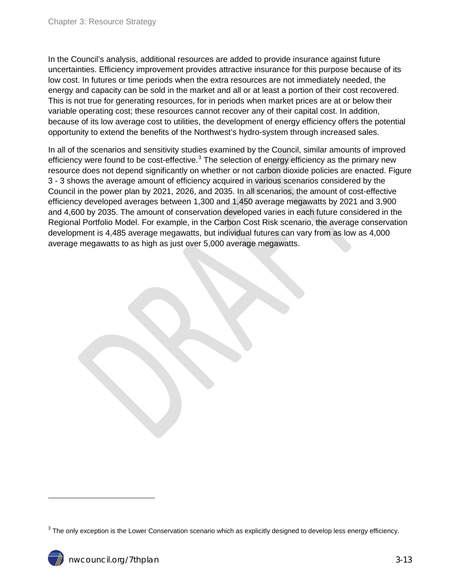In the Council's analysis, additional resources are added to provide insurance against future uncertainties. Efficiency improvement provides attractive insurance for this purpose because of its low cost. In futures or time periods when the extra resources are not immediately needed, the energy and capacity can be sold in the market and all or at least a portion of their cost recovered. This is not true for generating resources, for in periods when market prices are at or below their variable operating cost; these resources cannot recover any of their capital cost. In addition, because of its low average cost to utilities, the development of energy efficiency offers the potential opportunity to extend the benefits of the Northwest's hydro-system through increased sales.

In all of the scenarios and sensitivity studies examined by the Council, similar amounts of improved efficiency were found to be cost-effective. $3$  The selection of energy efficiency as the primary new resource does not depend significantly on whether or not carbon dioxide policies are enacted. Figure 3 - 3 shows the average amount of efficiency acquired in various scenarios considered by the Council in the power plan by 2021, 2026, and 2035. In all scenarios, the amount of cost-effective efficiency developed averages between 1,300 and 1,450 average megawatts by 2021 and 3,900 and 4,600 by 2035. The amount of conservation developed varies in each future considered in the Regional Portfolio Model. For example, in the Carbon Cost Risk scenario, the average conservation development is 4,485 average megawatts, but individual futures can vary from as low as 4,000 average megawatts to as high as just over 5,000 average megawatts.

<span id="page-12-0"></span> $\overline{a}$ 

 $3$  The only exception is the Lower Conservation scenario which as explicitly designed to develop less energy efficiency.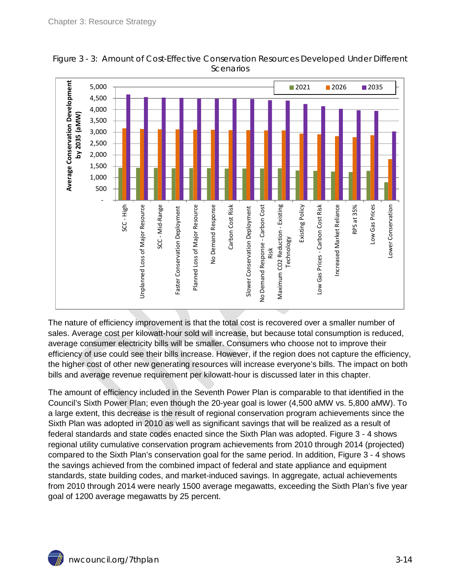

<span id="page-13-0"></span>Figure 3 - 3: Amount of Cost-Effective Conservation Resources Developed Under Different **Scenarios** 

The nature of efficiency improvement is that the total cost is recovered over a smaller number of sales. Average cost per kilowatt-hour sold will increase, but because total consumption is reduced, average consumer electricity bills will be smaller. Consumers who choose not to improve their efficiency of use could see their bills increase. However, if the region does not capture the efficiency, the higher cost of other new generating resources will increase everyone's bills. The impact on both bills and average revenue requirement per kilowatt-hour is discussed later in this chapter.

The amount of efficiency included in the Seventh Power Plan is comparable to that identified in the Council's Sixth Power Plan; even though the 20-year goal is lower (4,500 aMW vs. 5,800 aMW). To a large extent, this decrease is the result of regional conservation program achievements since the Sixth Plan was adopted in 2010 as well as significant savings that will be realized as a result of federal standards and state codes enacted since the Sixth Plan was adopted. Figure 3 - 4 shows regional utility cumulative conservation program achievements from 2010 through 2014 (projected) compared to the Sixth Plan's conservation goal for the same period. In addition, Figure 3 - 4 shows the savings achieved from the combined impact of federal and state appliance and equipment standards, state building codes, and market-induced savings. In aggregate, actual achievements from 2010 through 2014 were nearly 1500 average megawatts, exceeding the Sixth Plan's five year goal of 1200 average megawatts by 25 percent.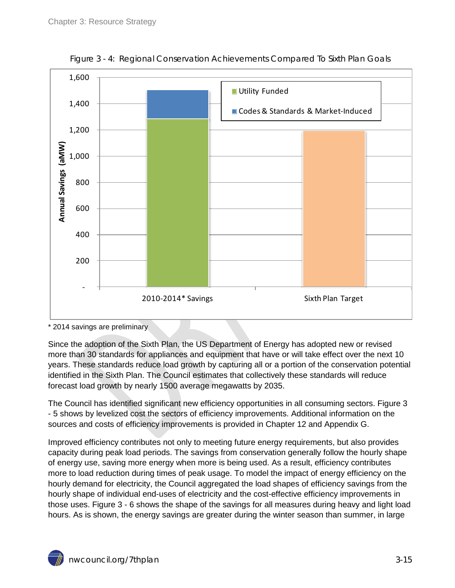<span id="page-14-0"></span>

Figure 3 - 4: Regional Conservation Achievements Compared To Sixth Plan Goals

\* 2014 savings are preliminary

Since the adoption of the Sixth Plan, the US Department of Energy has adopted new or revised more than 30 standards for appliances and equipment that have or will take effect over the next 10 years. These standards reduce load growth by capturing all or a portion of the conservation potential identified in the Sixth Plan. The Council estimates that collectively these standards will reduce forecast load growth by nearly 1500 average megawatts by 2035.

The Council has identified significant new efficiency opportunities in all consuming sectors. Figure 3 - 5 shows by levelized cost the sectors of efficiency improvements. Additional information on the sources and costs of efficiency improvements is provided in Chapter 12 and Appendix G.

Improved efficiency contributes not only to meeting future energy requirements, but also provides capacity during peak load periods. The savings from conservation generally follow the hourly shape of energy use, saving more energy when more is being used. As a result, efficiency contributes more to load reduction during times of peak usage. To model the impact of energy efficiency on the hourly demand for electricity, the Council aggregated the load shapes of efficiency savings from the hourly shape of individual end-uses of electricity and the cost-effective efficiency improvements in those uses. Figure 3 - 6 shows the shape of the savings for all measures during heavy and light load hours. As is shown, the energy savings are greater during the winter season than summer, in large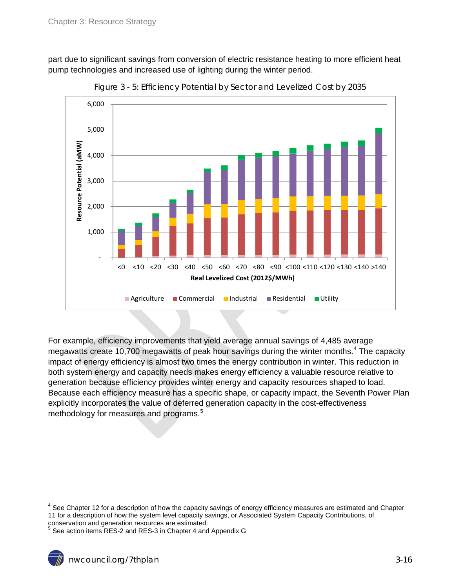part due to significant savings from conversion of electric resistance heating to more efficient heat pump technologies and increased use of lighting during the winter period.

<span id="page-15-0"></span>

Figure 3 - 5: Efficiency Potential by Sector and Levelized Cost by 2035

For example, efficiency improvements that yield average annual savings of 4,485 average megawatts create 10,700 megawatts of peak hour savings during the winter months.<sup>[4](#page-12-0)</sup> The capacity impact of energy efficiency is almost two times the energy contribution in winter. This reduction in both system energy and capacity needs makes energy efficiency a valuable resource relative to generation because efficiency provides winter energy and capacity resources shaped to load. Because each efficiency measure has a specific shape, or capacity impact, the Seventh Power Plan explicitly incorporates the value of deferred generation capacity in the cost-effectiveness methodology for measures and programs. [5](#page-15-1)

 $\overline{a}$ 

<sup>&</sup>lt;sup>4</sup> See Chapter 12 for a description of how the capacity savings of energy efficiency measures are estimated and Chapter 11 for a description of how the system level capacity savings, or Associated System Capacity Contributions, of conservation and generation resources are estimated.

<span id="page-15-2"></span><span id="page-15-1"></span><sup>5</sup> See action items RES-2 and RES-3 in Chapter 4 and Appendix G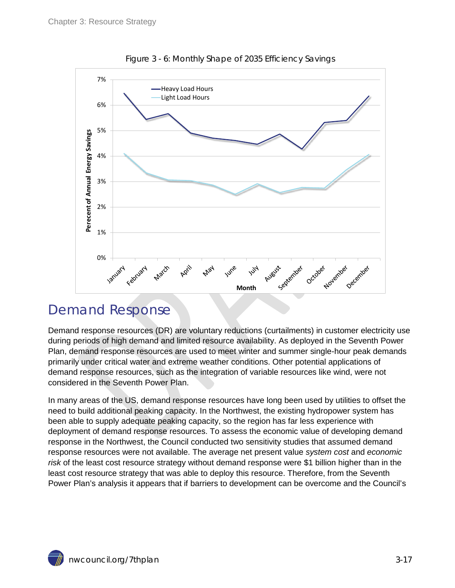<span id="page-16-1"></span>

Figure 3 - 6: Monthly Shape of 2035 Efficiency Savings

#### <span id="page-16-0"></span>Demand Response

Demand response resources (DR) are voluntary reductions (curtailments) in customer electricity use during periods of high demand and limited resource availability. As deployed in the Seventh Power Plan, demand response resources are used to meet winter and summer single-hour peak demands primarily under critical water and extreme weather conditions. Other potential applications of demand response resources, such as the integration of variable resources like wind, were not considered in the Seventh Power Plan.

In many areas of the US, demand response resources have long been used by utilities to offset the need to build additional peaking capacity. In the Northwest, the existing hydropower system has been able to supply adequate peaking capacity, so the region has far less experience with deployment of demand response resources. To assess the economic value of developing demand response in the Northwest, the Council conducted two sensitivity studies that assumed demand response resources were not available. The average net present value *system cost* and *economic risk* of the least cost resource strategy without demand response were \$1 billion higher than in the least cost resource strategy that was able to deploy this resource. Therefore, from the Seventh Power Plan's analysis it appears that if barriers to development can be overcome and the Council's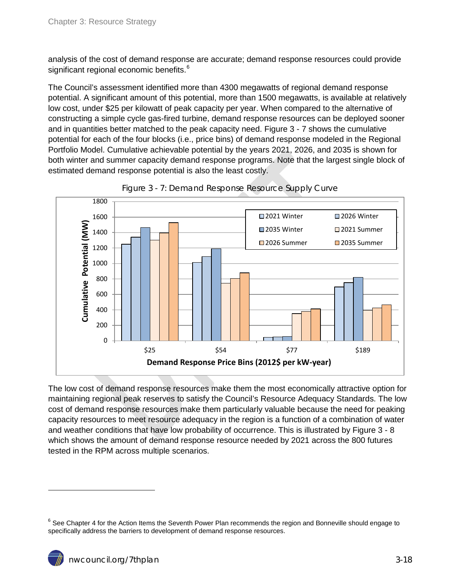analysis of the cost of demand response are accurate; demand response resources could provide significant regional economic benefits.<sup>[6](#page-15-2)</sup>

The Council's assessment identified more than 4300 megawatts of regional demand response potential. A significant amount of this potential, more than 1500 megawatts, is available at relatively low cost, under \$25 per kilowatt of peak capacity per year. When compared to the alternative of constructing a simple cycle gas-fired turbine, demand response resources can be deployed sooner and in quantities better matched to the peak capacity need. Figure 3 - 7 shows the cumulative potential for each of the four blocks (i.e., price bins) of demand response modeled in the Regional Portfolio Model. Cumulative achievable potential by the years 2021, 2026, and 2035 is shown for both winter and summer capacity demand response programs. Note that the largest single block of estimated demand response potential is also the least costly.

<span id="page-17-0"></span>

![](_page_17_Figure_4.jpeg)

The low cost of demand response resources make them the most economically attractive option for maintaining regional peak reserves to satisfy the Council's Resource Adequacy Standards. The low cost of demand response resources make them particularly valuable because the need for peaking capacity resources to meet resource adequacy in the region is a function of a combination of water and weather conditions that have low probability of occurrence. This is illustrated by Figure 3 - 8 which shows the amount of demand response resource needed by 2021 across the 800 futures tested in the RPM across multiple scenarios.

 $\overline{a}$ 

<span id="page-17-1"></span> $6$  See Chapter 4 for the Action Items the Seventh Power Plan recommends the region and Bonneville should engage to specifically address the barriers to development of demand response resources.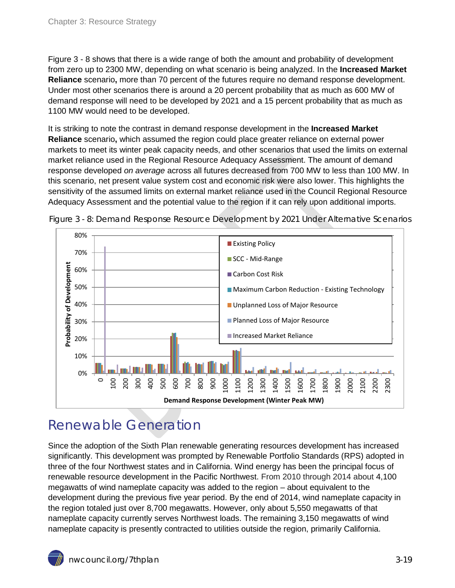Figure 3 - 8 shows that there is a wide range of both the amount and probability of development from zero up to 2300 MW, depending on what scenario is being analyzed. In the **Increased Market Reliance** scenario**,** more than 70 percent of the futures require no demand response development. Under most other scenarios there is around a 20 percent probability that as much as 600 MW of demand response will need to be developed by 2021 and a 15 percent probability that as much as 1100 MW would need to be developed.

It is striking to note the contrast in demand response development in the **Increased Market Reliance** scenario**,** which assumed the region could place greater reliance on external power markets to meet its winter peak capacity needs, and other scenarios that used the limits on external market reliance used in the Regional Resource Adequacy Assessment. The amount of demand response developed *on average* across all futures decreased from 700 MW to less than 100 MW. In this scenario, net present value system cost and economic risk were also lower. This highlights the sensitivity of the assumed limits on external market reliance used in the Council Regional Resource Adequacy Assessment and the potential value to the region if it can rely upon additional imports.

![](_page_18_Figure_3.jpeg)

<span id="page-18-1"></span>Figure 3 - 8: Demand Response Resource Development by 2021 Under Alternative Scenarios

### <span id="page-18-0"></span>Renewable Generation

Since the adoption of the Sixth Plan renewable generating resources development has increased significantly. This development was prompted by Renewable Portfolio Standards (RPS) adopted in three of the four Northwest states and in California. Wind energy has been the principal focus of renewable resource development in the Pacific Northwest. From 2010 through 2014 about 4,100 megawatts of wind nameplate capacity was added to the region – about equivalent to the development during the previous five year period. By the end of 2014, wind nameplate capacity in the region totaled just over 8,700 megawatts. However, only about 5,550 megawatts of that nameplate capacity currently serves Northwest loads. The remaining 3,150 megawatts of wind nameplate capacity is presently contracted to utilities outside the region, primarily California.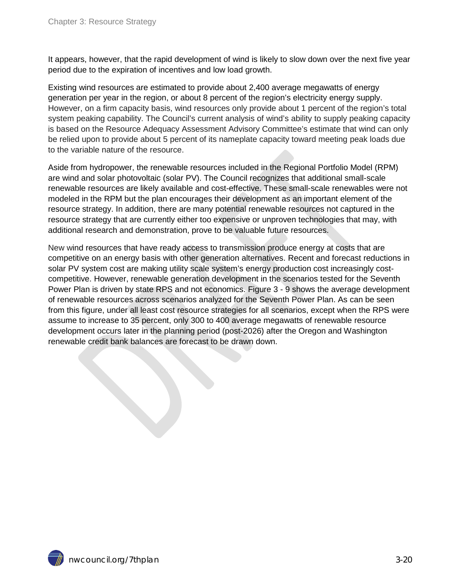It appears, however, that the rapid development of wind is likely to slow down over the next five year period due to the expiration of incentives and low load growth.

Existing wind resources are estimated to provide about 2,400 average megawatts of energy generation per year in the region, or about 8 percent of the region's electricity energy supply. However, on a firm capacity basis, wind resources only provide about 1 percent of the region's total system peaking capability. The Council's current analysis of wind's ability to supply peaking capacity is based on the Resource Adequacy Assessment Advisory Committee's estimate that wind can only be relied upon to provide about 5 percent of its nameplate capacity toward meeting peak loads due to the variable nature of the resource.

Aside from hydropower, the renewable resources included in the Regional Portfolio Model (RPM) are wind and solar photovoltaic (solar PV). The Council recognizes that additional small-scale renewable resources are likely available and cost-effective. These small-scale renewables were not modeled in the RPM but the plan encourages their development as an important element of the resource strategy. In addition, there are many potential renewable resources not captured in the resource strategy that are currently either too expensive or unproven technologies that may, with additional research and demonstration, prove to be valuable future resources.

New wind resources that have ready access to transmission produce energy at costs that are competitive on an energy basis with other generation alternatives. Recent and forecast reductions in solar PV system cost are making utility scale system's energy production cost increasingly costcompetitive. However, renewable generation development in the scenarios tested for the Seventh Power Plan is driven by state RPS and not economics. Figure 3 - 9 shows the average development of renewable resources across scenarios analyzed for the Seventh Power Plan. As can be seen from this figure, under all least cost resource strategies for all scenarios, except when the RPS were assume to increase to 35 percent, only 300 to 400 average megawatts of renewable resource development occurs later in the planning period (post-2026) after the Oregon and Washington renewable credit bank balances are forecast to be drawn down.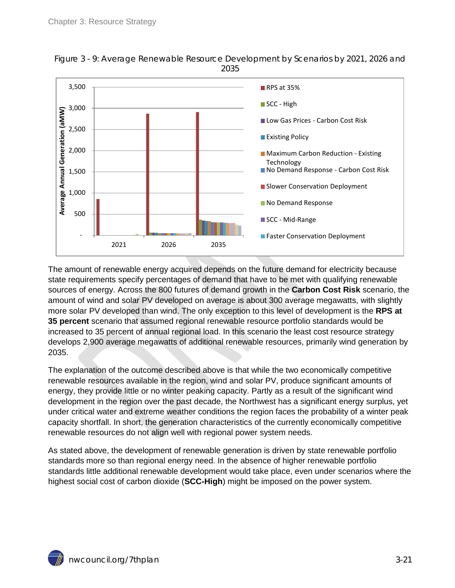![](_page_20_Figure_1.jpeg)

<span id="page-20-0"></span>Figure 3 - 9: Average Renewable Resource Development by Scenarios by 2021, 2026 and 2035

The amount of renewable energy acquired depends on the future demand for electricity because state requirements specify percentages of demand that have to be met with qualifying renewable sources of energy. Across the 800 futures of demand growth in the **Carbon Cost Risk** scenario, the amount of wind and solar PV developed on average is about 300 average megawatts, with slightly more solar PV developed than wind. The only exception to this level of development is the **RPS at 35 percent** scenario that assumed regional renewable resource portfolio standards would be increased to 35 percent of annual regional load. In this scenario the least cost resource strategy develops 2,900 average megawatts of additional renewable resources, primarily wind generation by 2035.

The explanation of the outcome described above is that while the two economically competitive renewable resources available in the region, wind and solar PV, produce significant amounts of energy, they provide little or no winter peaking capacity. Partly as a result of the significant wind development in the region over the past decade, the Northwest has a significant energy surplus, yet under critical water and extreme weather conditions the region faces the probability of a winter peak capacity shortfall. In short, the generation characteristics of the currently economically competitive renewable resources do not align well with regional power system needs.

As stated above, the development of renewable generation is driven by state renewable portfolio standards more so than regional energy need. In the absence of higher renewable portfolio standards little additional renewable development would take place, even under scenarios where the highest social cost of carbon dioxide (**SCC-High**) might be imposed on the power system.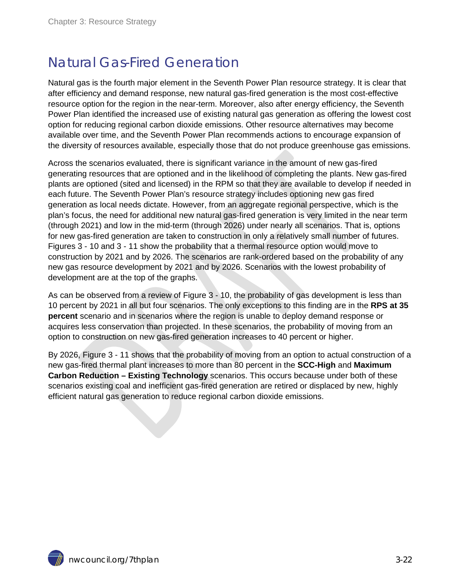### <span id="page-21-0"></span>Natural Gas-Fired Generation

Natural gas is the fourth major element in the Seventh Power Plan resource strategy. It is clear that after efficiency and demand response, new natural gas-fired generation is the most cost-effective resource option for the region in the near-term. Moreover, also after energy efficiency, the Seventh Power Plan identified the increased use of existing natural gas generation as offering the lowest cost option for reducing regional carbon dioxide emissions. Other resource alternatives may become available over time, and the Seventh Power Plan recommends actions to encourage expansion of the diversity of resources available, especially those that do not produce greenhouse gas emissions.

Across the scenarios evaluated, there is significant variance in the amount of new gas-fired generating resources that are optioned and in the likelihood of completing the plants. New gas-fired plants are optioned (sited and licensed) in the RPM so that they are available to develop if needed in each future. The Seventh Power Plan's resource strategy includes optioning new gas fired generation as local needs dictate. However, from an aggregate regional perspective, which is the plan's focus, the need for additional new natural gas-fired generation is very limited in the near term (through 2021) and low in the mid-term (through 2026) under nearly all scenarios. That is, options for new gas-fired generation are taken to construction in only a relatively small number of futures. Figures 3 - 10 and 3 - 11 show the probability that a thermal resource option would move to construction by 2021 and by 2026. The scenarios are rank-ordered based on the probability of any new gas resource development by 2021 and by 2026. Scenarios with the lowest probability of development are at the top of the graphs.

As can be observed from a review of Figure 3 - 10, the probability of gas development is less than 10 percent by 2021 in all but four scenarios. The only exceptions to this finding are in the **RPS at 35 percent** scenario and in scenarios where the region is unable to deploy demand response or acquires less conservation than projected. In these scenarios, the probability of moving from an option to construction on new gas-fired generation increases to 40 percent or higher.

By 2026, Figure 3 - 11 shows that the probability of moving from an option to actual construction of a new gas-fired thermal plant increases to more than 80 percent in the **SCC-High** and **Maximum Carbon Reduction – Existing Technology** scenarios. This occurs because under both of these scenarios existing coal and inefficient gas-fired generation are retired or displaced by new, highly efficient natural gas generation to reduce regional carbon dioxide emissions.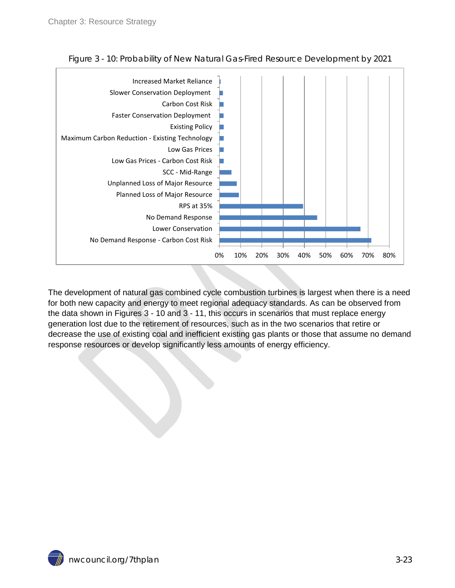<span id="page-22-0"></span>![](_page_22_Figure_1.jpeg)

Figure 3 - 10: Probability of New Natural Gas-Fired Resource Development by 2021

The development of natural gas combined cycle combustion turbines is largest when there is a need for both new capacity and energy to meet regional adequacy standards. As can be observed from the data shown in Figures 3 - 10 and 3 - 11, this occurs in scenarios that must replace energy generation lost due to the retirement of resources, such as in the two scenarios that retire or decrease the use of existing coal and inefficient existing gas plants or those that assume no demand response resources or develop significantly less amounts of energy efficiency.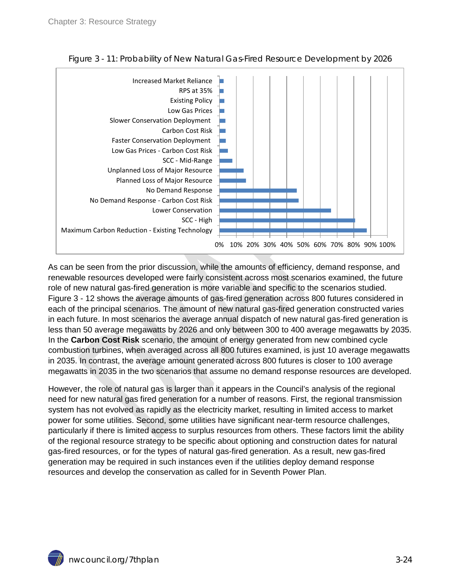<span id="page-23-0"></span>![](_page_23_Figure_1.jpeg)

Figure 3 - 11: Probability of New Natural Gas-Fired Resource Development by 2026

As can be seen from the prior discussion, while the amounts of efficiency, demand response, and renewable resources developed were fairly consistent across most scenarios examined, the future role of new natural gas-fired generation is more variable and specific to the scenarios studied. Figure 3 - 12 shows the average amounts of gas-fired generation across 800 futures considered in each of the principal scenarios. The amount of new natural gas-fired generation constructed varies in each future. In most scenarios the average annual dispatch of new natural gas-fired generation is less than 50 average megawatts by 2026 and only between 300 to 400 average megawatts by 2035. In the **Carbon Cost Risk** scenario, the amount of energy generated from new combined cycle combustion turbines, when averaged across all 800 futures examined, is just 10 average megawatts in 2035. In contrast, the average amount generated across 800 futures is closer to 100 average megawatts in 2035 in the two scenarios that assume no demand response resources are developed.

However, the role of natural gas is larger than it appears in the Council's analysis of the regional need for new natural gas fired generation for a number of reasons. First, the regional transmission system has not evolved as rapidly as the electricity market, resulting in limited access to market power for some utilities. Second, some utilities have significant near-term resource challenges, particularly if there is limited access to surplus resources from others. These factors limit the ability of the regional resource strategy to be specific about optioning and construction dates for natural gas-fired resources, or for the types of natural gas-fired generation. As a result, new gas-fired generation may be required in such instances even if the utilities deploy demand response resources and develop the conservation as called for in Seventh Power Plan.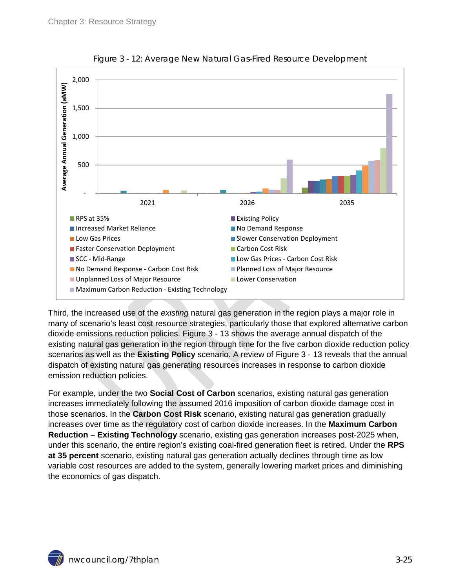<span id="page-24-0"></span>![](_page_24_Figure_1.jpeg)

Figure 3 - 12: Average New Natural Gas-Fired Resource Development

Third, the increased use of the *existing* natural gas generation in the region plays a major role in many of scenario's least cost resource strategies, particularly those that explored alternative carbon dioxide emissions reduction policies. Figure 3 - 13 shows the average annual dispatch of the existing natural gas generation in the region through time for the five carbon dioxide reduction policy scenarios as well as the **Existing Policy** scenario. A review of Figure 3 - 13 reveals that the annual dispatch of existing natural gas generating resources increases in response to carbon dioxide emission reduction policies.

For example, under the two **Social Cost of Carbon** scenarios, existing natural gas generation increases immediately following the assumed 2016 imposition of carbon dioxide damage cost in those scenarios. In the **Carbon Cost Risk** scenario, existing natural gas generation gradually increases over time as the regulatory cost of carbon dioxide increases. In the **Maximum Carbon Reduction – Existing Technology** scenario, existing gas generation increases post-2025 when, under this scenario, the entire region's existing coal-fired generation fleet is retired. Under the **RPS at 35 percent** scenario, existing natural gas generation actually declines through time as low variable cost resources are added to the system, generally lowering market prices and diminishing the economics of gas dispatch.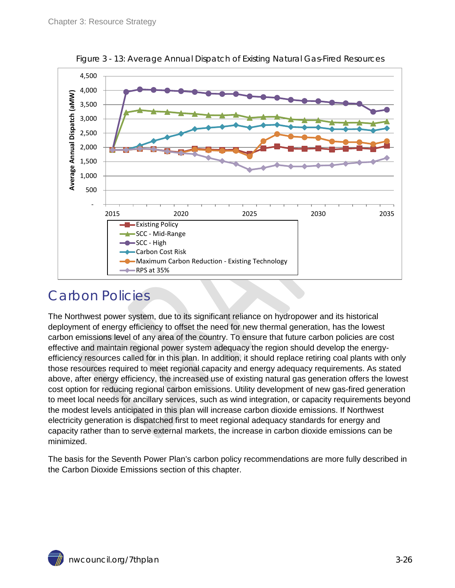<span id="page-25-1"></span>![](_page_25_Figure_1.jpeg)

Figure 3 - 13: Average Annual Dispatch of Existing Natural Gas-Fired Resources

#### <span id="page-25-0"></span>Carbon Policies

The Northwest power system, due to its significant reliance on hydropower and its historical deployment of energy efficiency to offset the need for new thermal generation, has the lowest carbon emissions level of any area of the country. To ensure that future carbon policies are cost effective and maintain regional power system adequacy the region should develop the energyefficiency resources called for in this plan. In addition, it should replace retiring coal plants with only those resources required to meet regional capacity and energy adequacy requirements. As stated above, after energy efficiency, the increased use of existing natural gas generation offers the lowest cost option for reducing regional carbon emissions. Utility development of new gas-fired generation to meet local needs for ancillary services, such as wind integration, or capacity requirements beyond the modest levels anticipated in this plan will increase carbon dioxide emissions. If Northwest electricity generation is dispatched first to meet regional adequacy standards for energy and capacity rather than to serve external markets, the increase in carbon dioxide emissions can be minimized.

The basis for the Seventh Power Plan's carbon policy recommendations are more fully described in the Carbon Dioxide Emissions section of this chapter.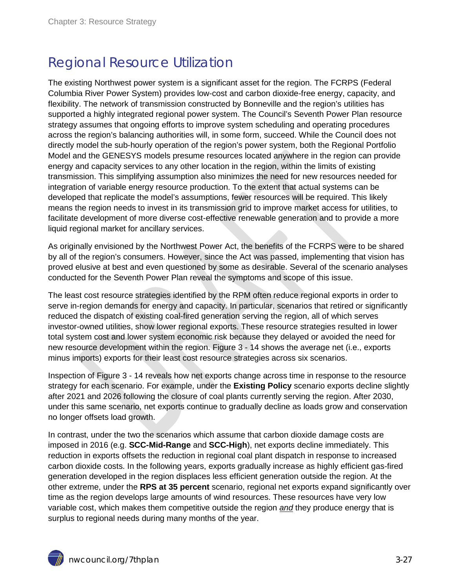### <span id="page-26-0"></span>Regional Resource Utilization

The existing Northwest power system is a significant asset for the region. The FCRPS (Federal Columbia River Power System) provides low-cost and carbon dioxide-free energy, capacity, and flexibility. The network of transmission constructed by Bonneville and the region's utilities has supported a highly integrated regional power system. The Council's Seventh Power Plan resource strategy assumes that ongoing efforts to improve system scheduling and operating procedures across the region's balancing authorities will, in some form, succeed. While the Council does not directly model the sub-hourly operation of the region's power system, both the Regional Portfolio Model and the GENESYS models presume resources located anywhere in the region can provide energy and capacity services to any other location in the region, within the limits of existing transmission. This simplifying assumption also minimizes the need for new resources needed for integration of variable energy resource production. To the extent that actual systems can be developed that replicate the model's assumptions, fewer resources will be required. This likely means the region needs to invest in its transmission grid to improve market access for utilities, to facilitate development of more diverse cost-effective renewable generation and to provide a more liquid regional market for ancillary services.

As originally envisioned by the Northwest Power Act, the benefits of the FCRPS were to be shared by all of the region's consumers. However, since the Act was passed, implementing that vision has proved elusive at best and even questioned by some as desirable. Several of the scenario analyses conducted for the Seventh Power Plan reveal the symptoms and scope of this issue.

The least cost resource strategies identified by the RPM often reduce regional exports in order to serve in-region demands for energy and capacity. In particular, scenarios that retired or significantly reduced the dispatch of existing coal-fired generation serving the region, all of which serves investor-owned utilities, show lower regional exports. These resource strategies resulted in lower total system cost and lower system economic risk because they delayed or avoided the need for new resource development within the region. Figure 3 - 14 shows the average net (i.e., exports minus imports) exports for their least cost resource strategies across six scenarios.

Inspection of Figure 3 - 14 reveals how net exports change across time in response to the resource strategy for each scenario. For example, under the **Existing Policy** scenario exports decline slightly after 2021 and 2026 following the closure of coal plants currently serving the region. After 2030, under this same scenario, net exports continue to gradually decline as loads grow and conservation no longer offsets load growth.

In contrast, under the two the scenarios which assume that carbon dioxide damage costs are imposed in 2016 (e.g. **SCC-Mid-Range** and **SCC-High**), net exports decline immediately. This reduction in exports offsets the reduction in regional coal plant dispatch in response to increased carbon dioxide costs. In the following years, exports gradually increase as highly efficient gas-fired generation developed in the region displaces less efficient generation outside the region. At the other extreme, under the **RPS at 35 percent** scenario, regional net exports expand significantly over time as the region develops large amounts of wind resources. These resources have very low variable cost, which makes them competitive outside the region *and* they produce energy that is surplus to regional needs during many months of the year.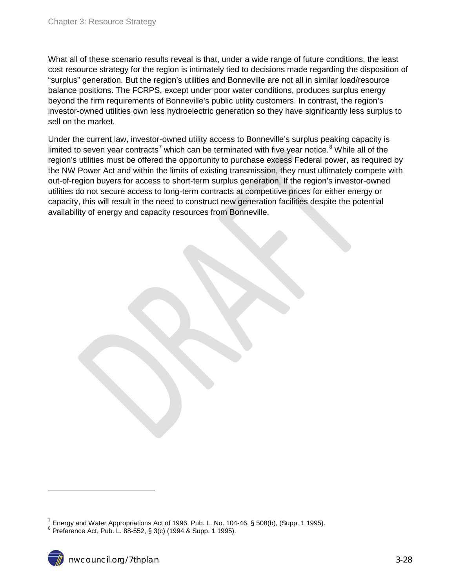What all of these scenario results reveal is that, under a wide range of future conditions, the least cost resource strategy for the region is intimately tied to decisions made regarding the disposition of "surplus" generation. But the region's utilities and Bonneville are not all in similar load/resource balance positions. The FCRPS, except under poor water conditions, produces surplus energy beyond the firm requirements of Bonneville's public utility customers. In contrast, the region's investor-owned utilities own less hydroelectric generation so they have significantly less surplus to sell on the market.

Under the current law, investor-owned utility access to Bonneville's surplus peaking capacity is limited to seven year contracts<sup>[7](#page-17-1)</sup> which can be terminated with five year notice.<sup>[8](#page-27-0)</sup> While all of the region's utilities must be offered the opportunity to purchase excess Federal power, as required by the NW Power Act and within the limits of existing transmission, they must ultimately compete with out-of-region buyers for access to short-term surplus generation. If the region's investor-owned utilities do not secure access to long-term contracts at competitive prices for either energy or capacity, this will result in the need to construct new generation facilities despite the potential availability of energy and capacity resources from Bonneville.

 $\overline{a}$ 

<span id="page-27-1"></span><span id="page-27-0"></span><sup>&</sup>lt;sup>7</sup> Energy and Water Appropriations Act of 1996, Pub. L. No. 104-46, § 508(b), (Supp. 1 1995).<br><sup>8</sup> Preference Act, Pub. L. 88-552, § 3(c) (1994 & Supp. 1 1995).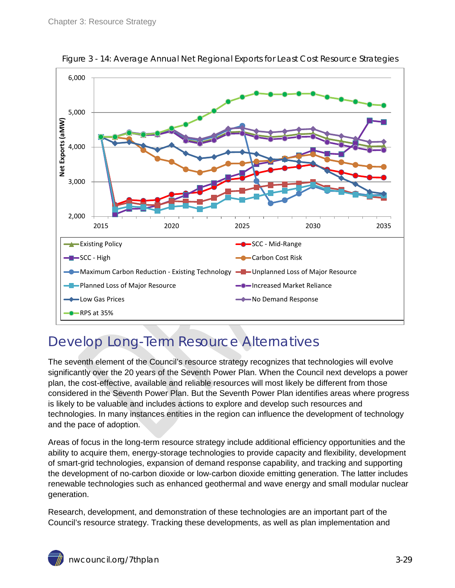<span id="page-28-1"></span>![](_page_28_Figure_1.jpeg)

Figure 3 - 14: Average Annual Net Regional Exports for Least Cost Resource Strategies

### <span id="page-28-0"></span>Develop Long-Term Resource Alternatives

The seventh element of the Council's resource strategy recognizes that technologies will evolve significantly over the 20 years of the Seventh Power Plan. When the Council next develops a power plan, the cost-effective, available and reliable resources will most likely be different from those considered in the Seventh Power Plan. But the Seventh Power Plan identifies areas where progress is likely to be valuable and includes actions to explore and develop such resources and technologies. In many instances entities in the region can influence the development of technology and the pace of adoption.

Areas of focus in the long-term resource strategy include additional efficiency opportunities and the ability to acquire them, energy-storage technologies to provide capacity and flexibility, development of smart-grid technologies, expansion of demand response capability, and tracking and supporting the development of no-carbon dioxide or low-carbon dioxide emitting generation. The latter includes renewable technologies such as enhanced geothermal and wave energy and small modular nuclear generation.

Research, development, and demonstration of these technologies are an important part of the Council's resource strategy. Tracking these developments, as well as plan implementation and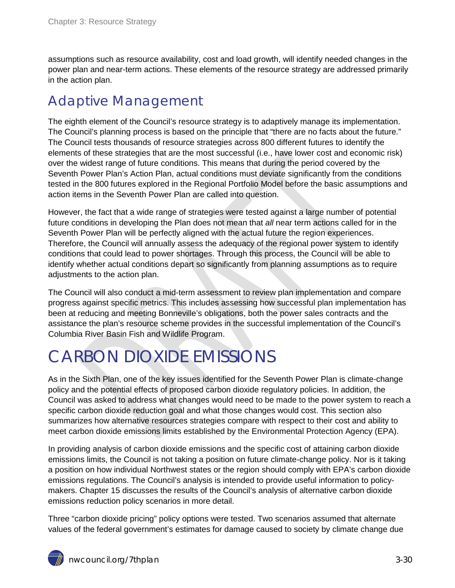assumptions such as resource availability, cost and load growth, will identify needed changes in the power plan and near-term actions. These elements of the resource strategy are addressed primarily in the action plan.

#### <span id="page-29-0"></span>Adaptive Management

The eighth element of the Council's resource strategy is to adaptively manage its implementation. The Council's planning process is based on the principle that "there are no facts about the future." The Council tests thousands of resource strategies across 800 different futures to identify the elements of these strategies that are the most successful (i.e., have lower cost and economic risk) over the widest range of future conditions. This means that during the period covered by the Seventh Power Plan's Action Plan, actual conditions must deviate significantly from the conditions tested in the 800 futures explored in the Regional Portfolio Model before the basic assumptions and action items in the Seventh Power Plan are called into question.

However, the fact that a wide range of strategies were tested against a large number of potential future conditions in developing the Plan does not mean that *all* near term actions called for in the Seventh Power Plan will be perfectly aligned with the actual future the region experiences. Therefore, the Council will annually assess the adequacy of the regional power system to identify conditions that could lead to power shortages. Through this process, the Council will be able to identify whether actual conditions depart so significantly from planning assumptions as to require adjustments to the action plan.

The Council will also conduct a mid-term assessment to review plan implementation and compare progress against specific metrics. This includes assessing how successful plan implementation has been at reducing and meeting Bonneville's obligations, both the power sales contracts and the assistance the plan's resource scheme provides in the successful implementation of the Council's Columbia River Basin Fish and Wildlife Program.

## <span id="page-29-1"></span>CARBON DIOXIDE EMISSIONS

As in the Sixth Plan, one of the key issues identified for the Seventh Power Plan is climate-change policy and the potential effects of proposed carbon dioxide regulatory policies. In addition, the Council was asked to address what changes would need to be made to the power system to reach a specific carbon dioxide reduction goal and what those changes would cost. This section also summarizes how alternative resources strategies compare with respect to their cost and ability to meet carbon dioxide emissions limits established by the Environmental Protection Agency (EPA).

In providing analysis of carbon dioxide emissions and the specific cost of attaining carbon dioxide emissions limits, the Council is not taking a position on future climate-change policy. Nor is it taking a position on how individual Northwest states or the region should comply with EPA's carbon dioxide emissions regulations. The Council's analysis is intended to provide useful information to policymakers. Chapter 15 discusses the results of the Council's analysis of alternative carbon dioxide emissions reduction policy scenarios in more detail.

Three "carbon dioxide pricing" policy options were tested. Two scenarios assumed that alternate values of the federal government's estimates for damage caused to society by climate change due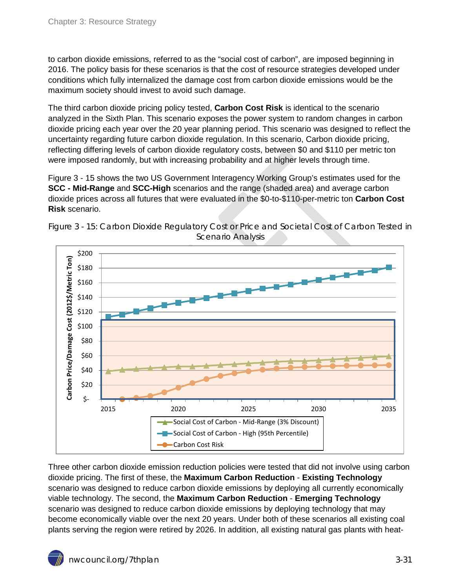to carbon dioxide emissions, referred to as the "social cost of carbon", are imposed beginning in 2016. The policy basis for these scenarios is that the cost of resource strategies developed under conditions which fully internalized the damage cost from carbon dioxide emissions would be the maximum society should invest to avoid such damage.

The third carbon dioxide pricing policy tested, **Carbon Cost Risk** is identical to the scenario analyzed in the Sixth Plan. This scenario exposes the power system to random changes in carbon dioxide pricing each year over the 20 year planning period. This scenario was designed to reflect the uncertainty regarding future carbon dioxide regulation. In this scenario, Carbon dioxide pricing, reflecting differing levels of carbon dioxide regulatory costs, between \$0 and \$110 per metric ton were imposed randomly, but with increasing probability and at higher levels through time.

Figure 3 - 15 shows the two US Government Interagency Working Group's estimates used for the **SCC - Mid-Range** and **SCC-High** scenarios and the range (shaded area) and average carbon dioxide prices across all futures that were evaluated in the \$0-to-\$110-per-metric ton **Carbon Cost Risk** scenario.

![](_page_30_Figure_4.jpeg)

<span id="page-30-0"></span>![](_page_30_Figure_5.jpeg)

Three other carbon dioxide emission reduction policies were tested that did not involve using carbon dioxide pricing. The first of these, the **Maximum Carbon Reduction** - **Existing Technology** scenario was designed to reduce carbon dioxide emissions by deploying all currently economically viable technology. The second, the **Maximum Carbon Reduction** - **Emerging Technology** scenario was designed to reduce carbon dioxide emissions by deploying technology that may become economically viable over the next 20 years. Under both of these scenarios all existing coal plants serving the region were retired by 2026. In addition, all existing natural gas plants with heat-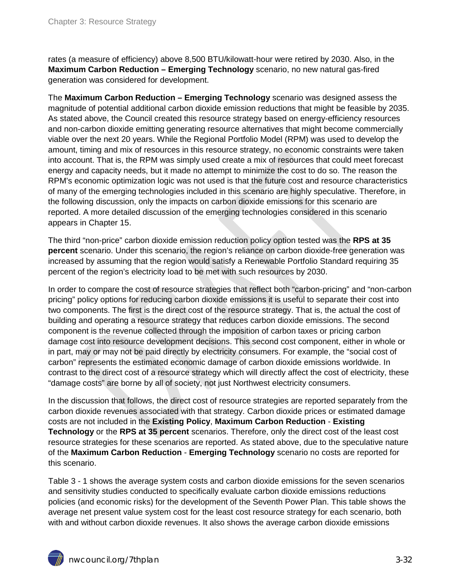rates (a measure of efficiency) above 8,500 BTU/kilowatt-hour were retired by 2030. Also, in the **Maximum Carbon Reduction – Emerging Technology** scenario, no new natural gas-fired generation was considered for development.

The **Maximum Carbon Reduction – Emerging Technology** scenario was designed assess the magnitude of potential additional carbon dioxide emission reductions that might be feasible by 2035. As stated above, the Council created this resource strategy based on energy-efficiency resources and non-carbon dioxide emitting generating resource alternatives that might become commercially viable over the next 20 years. While the Regional Portfolio Model (RPM) was used to develop the amount, timing and mix of resources in this resource strategy, no economic constraints were taken into account. That is, the RPM was simply used create a mix of resources that could meet forecast energy and capacity needs, but it made no attempt to minimize the cost to do so. The reason the RPM's economic optimization logic was not used is that the future cost and resource characteristics of many of the emerging technologies included in this scenario are highly speculative. Therefore, in the following discussion, only the impacts on carbon dioxide emissions for this scenario are reported. A more detailed discussion of the emerging technologies considered in this scenario appears in Chapter 15.

The third "non-price" carbon dioxide emission reduction policy option tested was the **RPS at 35 percent** scenario. Under this scenario, the region's reliance on carbon dioxide-free generation was increased by assuming that the region would satisfy a Renewable Portfolio Standard requiring 35 percent of the region's electricity load to be met with such resources by 2030.

In order to compare the cost of resource strategies that reflect both "carbon-pricing" and "non-carbon pricing" policy options for reducing carbon dioxide emissions it is useful to separate their cost into two components. The first is the direct cost of the resource strategy. That is, the actual the cost of building and operating a resource strategy that reduces carbon dioxide emissions. The second component is the revenue collected through the imposition of carbon taxes or pricing carbon damage cost into resource development decisions. This second cost component, either in whole or in part, may or may not be paid directly by electricity consumers. For example, the "social cost of carbon" represents the estimated economic damage of carbon dioxide emissions worldwide. In contrast to the direct cost of a resource strategy which will directly affect the cost of electricity, these "damage costs" are borne by all of society, not just Northwest electricity consumers.

In the discussion that follows, the direct cost of resource strategies are reported separately from the carbon dioxide revenues associated with that strategy. Carbon dioxide prices or estimated damage costs are not included in the **Existing Policy**, **Maximum Carbon Reduction** - **Existing Technology** or the **RPS at 35 percent** scenarios. Therefore, only the direct cost of the least cost resource strategies for these scenarios are reported. As stated above, due to the speculative nature of the **Maximum Carbon Reduction** - **Emerging Technology** scenario no costs are reported for this scenario.

Table 3 - 1 shows the average system costs and carbon dioxide emissions for the seven scenarios and sensitivity studies conducted to specifically evaluate carbon dioxide emissions reductions policies (and economic risks) for the development of the Seventh Power Plan. This table shows the average net present value system cost for the least cost resource strategy for each scenario, both with and without carbon dioxide revenues. It also shows the average carbon dioxide emissions

![](_page_31_Picture_7.jpeg)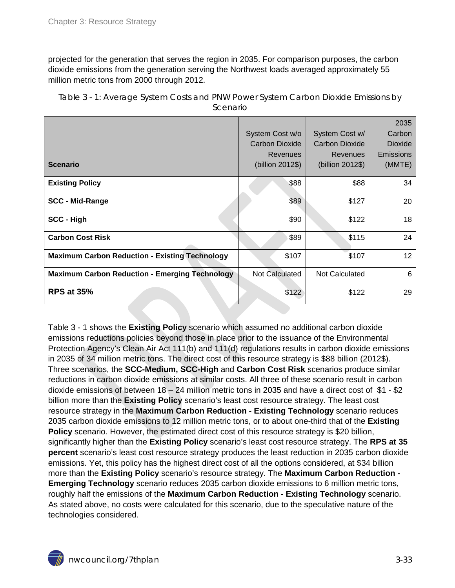projected for the generation that serves the region in 2035. For comparison purposes, the carbon dioxide emissions from the generation serving the Northwest loads averaged approximately 55 million metric tons from 2000 through 2012.

<span id="page-32-0"></span>Table 3 - 1: Average System Costs and PNW Power System Carbon Dioxide Emissions by Scenario

|                                                       |                       |                       | 2035            |
|-------------------------------------------------------|-----------------------|-----------------------|-----------------|
|                                                       | System Cost w/o       | System Cost w/        | Carbon          |
|                                                       | Carbon Dioxide        | Carbon Dioxide        | <b>Dioxide</b>  |
|                                                       | <b>Revenues</b>       | Revenues              | Emissions       |
| <b>Scenario</b>                                       | (billion 2012\$)      | (billion 2012\$)      | (MMTE)          |
| <b>Existing Policy</b>                                | \$88                  | \$88                  | 34              |
| SCC - Mid-Range                                       | \$89                  | \$127                 | 20              |
| <b>SCC - High</b>                                     | \$90                  | \$122                 | 18              |
| <b>Carbon Cost Risk</b>                               | \$89                  | \$115                 | 24              |
| <b>Maximum Carbon Reduction - Existing Technology</b> | \$107                 | \$107                 | 12 <sup>2</sup> |
| <b>Maximum Carbon Reduction - Emerging Technology</b> | <b>Not Calculated</b> | <b>Not Calculated</b> | 6               |
| <b>RPS at 35%</b>                                     | \$122                 | \$122                 | 29              |

Table 3 - 1 shows the **Existing Policy** scenario which assumed no additional carbon dioxide emissions reductions policies beyond those in place prior to the issuance of the Environmental Protection Agency's Clean Air Act 111(b) and 111(d) regulations results in carbon dioxide emissions in 2035 of 34 million metric tons. The direct cost of this resource strategy is \$88 billion (2012\$). Three scenarios, the **SCC-Medium, SCC-High** and **Carbon Cost Risk** scenarios produce similar reductions in carbon dioxide emissions at similar costs. All three of these scenario result in carbon dioxide emissions of between 18 – 24 million metric tons in 2035 and have a direct cost of \$1 - \$2 billion more than the **Existing Policy** scenario's least cost resource strategy. The least cost resource strategy in the **Maximum Carbon Reduction - Existing Technology** scenario reduces 2035 carbon dioxide emissions to 12 million metric tons, or to about one-third that of the **Existing Policy** scenario. However, the estimated direct cost of this resource strategy is \$20 billion, significantly higher than the **Existing Policy** scenario's least cost resource strategy. The **RPS at 35 percent** scenario's least cost resource strategy produces the least reduction in 2035 carbon dioxide emissions. Yet, this policy has the highest direct cost of all the options considered, at \$34 billion more than the **Existing Policy** scenario's resource strategy. The **Maximum Carbon Reduction - Emerging Technology** scenario reduces 2035 carbon dioxide emissions to 6 million metric tons, roughly half the emissions of the **Maximum Carbon Reduction - Existing Technology** scenario. As stated above, no costs were calculated for this scenario, due to the speculative nature of the technologies considered.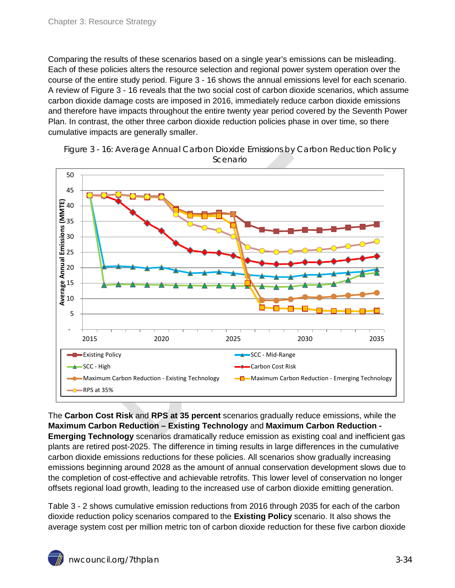Comparing the results of these scenarios based on a single year's emissions can be misleading. Each of these policies alters the resource selection and regional power system operation over the course of the entire study period. Figure 3 - 16 shows the annual emissions level for each scenario. A review of Figure 3 - 16 reveals that the two social cost of carbon dioxide scenarios, which assume carbon dioxide damage costs are imposed in 2016, immediately reduce carbon dioxide emissions and therefore have impacts throughout the entire twenty year period covered by the Seventh Power Plan. In contrast, the other three carbon dioxide reduction policies phase in over time, so there cumulative impacts are generally smaller.

![](_page_33_Figure_2.jpeg)

<span id="page-33-0"></span>![](_page_33_Figure_3.jpeg)

The **Carbon Cost Risk** and **RPS at 35 percent** scenarios gradually reduce emissions, while the **Maximum Carbon Reduction – Existing Technology** and **Maximum Carbon Reduction - Emerging Technology** scenarios dramatically reduce emission as existing coal and inefficient gas plants are retired post-2025. The difference in timing results in large differences in the cumulative carbon dioxide emissions reductions for these policies. All scenarios show gradually increasing emissions beginning around 2028 as the amount of annual conservation development slows due to the completion of cost-effective and achievable retrofits. This lower level of conservation no longer offsets regional load growth, leading to the increased use of carbon dioxide emitting generation.

Table 3 - 2 shows cumulative emission reductions from 2016 through 2035 for each of the carbon dioxide reduction policy scenarios compared to the **Existing Policy** scenario. It also shows the average system cost per million metric ton of carbon dioxide reduction for these five carbon dioxide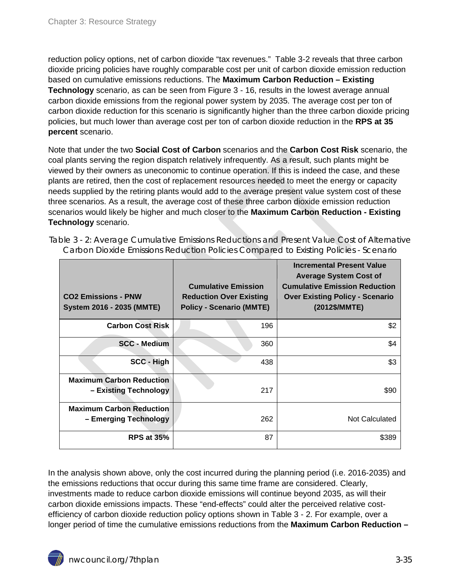reduction policy options, net of carbon dioxide "tax revenues." Table 3-2 reveals that three carbon dioxide pricing policies have roughly comparable cost per unit of carbon dioxide emission reduction based on cumulative emissions reductions. The **Maximum Carbon Reduction – Existing Technology** scenario, as can be seen from Figure 3 - 16, results in the lowest average annual carbon dioxide emissions from the regional power system by 2035. The average cost per ton of carbon dioxide reduction for this scenario is significantly higher than the three carbon dioxide pricing policies, but much lower than average cost per ton of carbon dioxide reduction in the **RPS at 35 percent** scenario.

Note that under the two **Social Cost of Carbon** scenarios and the **Carbon Cost Risk** scenario, the coal plants serving the region dispatch relatively infrequently. As a result, such plants might be viewed by their owners as uneconomic to continue operation. If this is indeed the case, and these plants are retired, then the cost of replacement resources needed to meet the energy or capacity needs supplied by the retiring plants would add to the average present value system cost of these three scenarios. As a result, the average cost of these three carbon dioxide emission reduction scenarios would likely be higher and much closer to the **Maximum Carbon Reduction - Existing Technology** scenario.

<span id="page-34-0"></span>

| Table 3 - 2: Average Cumulative Emissions Reductions and Present Value Cost of Alternative |  |
|--------------------------------------------------------------------------------------------|--|
| Carbon Dioxide Emissions Reduction Policies Compared to Existing Policies - Scenario       |  |

 $\mathcal{L}^{\mathcal{L}}$ 

| <b>CO2 Emissions - PNW</b><br>System 2016 - 2035 (MMTE)  | <b>Cumulative Emission</b><br><b>Reduction Over Existing</b><br><b>Policy - Scenario (MMTE)</b> | <b>Incremental Present Value</b><br><b>Average System Cost of</b><br><b>Cumulative Emission Reduction</b><br><b>Over Existing Policy - Scenario</b><br>(2012\$/MMTE) |
|----------------------------------------------------------|-------------------------------------------------------------------------------------------------|----------------------------------------------------------------------------------------------------------------------------------------------------------------------|
| <b>Carbon Cost Risk</b>                                  | 196                                                                                             | \$2                                                                                                                                                                  |
| <b>SCC - Medium</b>                                      | 360                                                                                             | \$4                                                                                                                                                                  |
| <b>SCC - High</b>                                        | 438                                                                                             | \$3                                                                                                                                                                  |
| <b>Maximum Carbon Reduction</b><br>- Existing Technology | 217                                                                                             | \$90                                                                                                                                                                 |
| <b>Maximum Carbon Reduction</b><br>- Emerging Technology | 262                                                                                             | Not Calculated                                                                                                                                                       |
| <b>RPS at 35%</b>                                        | 87                                                                                              | \$389                                                                                                                                                                |

In the analysis shown above, only the cost incurred during the planning period (i.e. 2016-2035) and the emissions reductions that occur during this same time frame are considered. Clearly, investments made to reduce carbon dioxide emissions will continue beyond 2035, as will their carbon dioxide emissions impacts. These "end-effects" could alter the perceived relative costefficiency of carbon dioxide reduction policy options shown in Table 3 - 2. For example, over a longer period of time the cumulative emissions reductions from the **Maximum Carbon Reduction –**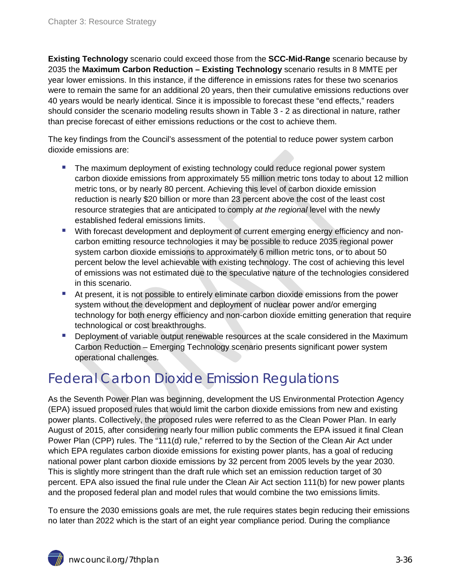**Existing Technology** scenario could exceed those from the **SCC-Mid-Range** scenario because by 2035 the **Maximum Carbon Reduction – Existing Technology** scenario results in 8 MMTE per year lower emissions. In this instance, if the difference in emissions rates for these two scenarios were to remain the same for an additional 20 years, then their cumulative emissions reductions over 40 years would be nearly identical. Since it is impossible to forecast these "end effects," readers should consider the scenario modeling results shown in Table 3 - 2 as directional in nature, rather than precise forecast of either emissions reductions or the cost to achieve them.

The key findings from the Council's assessment of the potential to reduce power system carbon dioxide emissions are:

- **The maximum deployment of existing technology could reduce regional power system** carbon dioxide emissions from approximately 55 million metric tons today to about 12 million metric tons, or by nearly 80 percent. Achieving this level of carbon dioxide emission reduction is nearly \$20 billion or more than 23 percent above the cost of the least cost resource strategies that are anticipated to comply *at the regional* level with the newly established federal emissions limits.
- **With forecast development and deployment of current emerging energy efficiency and non**carbon emitting resource technologies it may be possible to reduce 2035 regional power system carbon dioxide emissions to approximately 6 million metric tons, or to about 50 percent below the level achievable with existing technology. The cost of achieving this level of emissions was not estimated due to the speculative nature of the technologies considered in this scenario.
- At present, it is not possible to entirely eliminate carbon dioxide emissions from the power system without the development and deployment of nuclear power and/or emerging technology for both energy efficiency and non-carbon dioxide emitting generation that require technological or cost breakthroughs.
- **Deployment of variable output renewable resources at the scale considered in the Maximum** Carbon Reduction – Emerging Technology scenario presents significant power system operational challenges.

### <span id="page-35-0"></span>Federal Carbon Dioxide Emission Regulations

As the Seventh Power Plan was beginning, development the US Environmental Protection Agency (EPA) issued proposed rules that would limit the carbon dioxide emissions from new and existing power plants. Collectively, the proposed rules were referred to as the Clean Power Plan. In early August of 2015, after considering nearly four million public comments the EPA issued it final Clean Power Plan (CPP) rules. The "111(d) rule," referred to by the Section of the Clean Air Act under which EPA regulates carbon dioxide emissions for existing power plants, has a goal of reducing national power plant carbon dioxide emissions by 32 percent from 2005 levels by the year 2030. This is slightly more stringent than the draft rule which set an emission reduction target of 30 percent. EPA also issued the final rule under the Clean Air Act section 111(b) for new power plants and the proposed federal plan and model rules that would combine the two emissions limits.

To ensure the 2030 emissions goals are met, the rule requires states begin reducing their emissions no later than 2022 which is the start of an eight year compliance period. During the compliance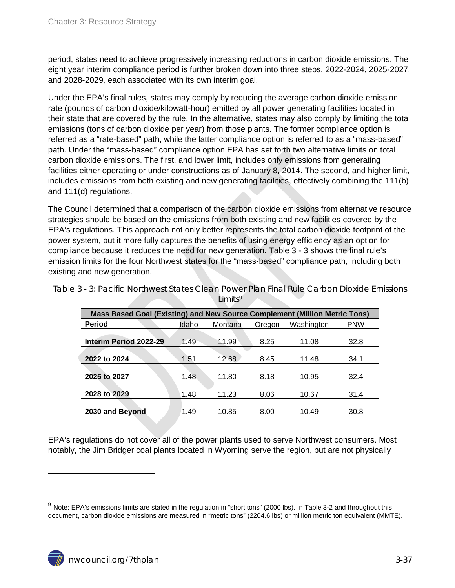period, states need to achieve progressively increasing reductions in carbon dioxide emissions. The eight year interim compliance period is further broken down into three steps, 2022-2024, 2025-2027, and 2028-2029, each associated with its own interim goal.

Under the EPA's final rules, states may comply by reducing the average carbon dioxide emission rate (pounds of carbon dioxide/kilowatt-hour) emitted by all power generating facilities located in their state that are covered by the rule. In the alternative, states may also comply by limiting the total emissions (tons of carbon dioxide per year) from those plants. The former compliance option is referred as a "rate-based" path, while the latter compliance option is referred to as a "mass-based" path. Under the "mass-based" compliance option EPA has set forth two alternative limits on total carbon dioxide emissions. The first, and lower limit, includes only emissions from generating facilities either operating or under constructions as of January 8, 2014. The second, and higher limit, includes emissions from both existing and new generating facilities, effectively combining the 111(b) and 111(d) regulations.

The Council determined that a comparison of the carbon dioxide emissions from alternative resource strategies should be based on the emissions from both existing and new facilities covered by the EPA's regulations. This approach not only better represents the total carbon dioxide footprint of the power system, but it more fully captures the benefits of using energy efficiency as an option for compliance because it reduces the need for new generation. Table 3 - 3 shows the final rule's emission limits for the four Northwest states for the "mass-based" compliance path, including both existing and new generation.

| Mass Based Goal (Existing) and New Source Complement (Million Metric Tons) |       |         |        |            |            |
|----------------------------------------------------------------------------|-------|---------|--------|------------|------------|
| <b>Period</b>                                                              | Idaho | Montana | Oregon | Washington | <b>PNW</b> |
| Interim Period 2022-29                                                     | 1.49  | 11.99   | 8.25   | 11.08      | 32.8       |
| 2022 to 2024                                                               | 1.51  | 12.68   | 8.45   | 11.48      | 34.1       |
| 2025 to 2027                                                               | 1.48  | 11.80   | 8.18   | 10.95      | 32.4       |
| 2028 to 2029                                                               | 1.48  | 11.23   | 8.06   | 10.67      | 31.4       |
| 2030 and Beyond                                                            | 1.49  | 10.85   | 8.00   | 10.49      | 30.8       |

<span id="page-36-0"></span>Table 3 - 3: Pacific Northwest States Clean Power Plan Final Rule Carbon Dioxide Emissions Limits<sup>[9](#page-27-1)</sup>

EPA's regulations do not cover all of the power plants used to serve Northwest consumers. Most notably, the Jim Bridger coal plants located in Wyoming serve the region, but are not physically

 $\overline{a}$ 

<span id="page-36-1"></span> $^9$  Note: EPA's emissions limits are stated in the regulation in "short tons" (2000 lbs). In Table 3-2 and throughout this document, carbon dioxide emissions are measured in "metric tons" (2204.6 lbs) or million metric ton equivalent (MMTE).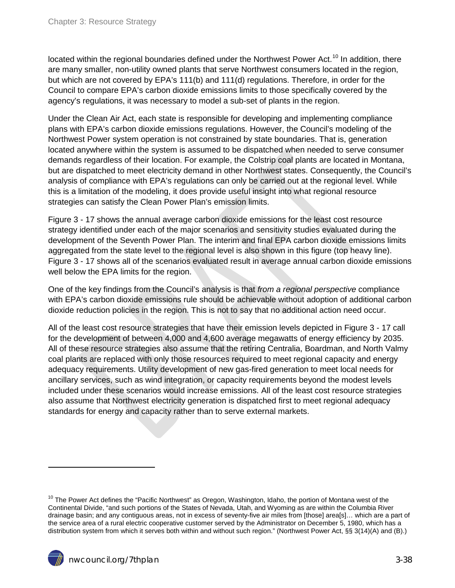located within the regional boundaries defined under the Northwest Power Act.<sup>[10](#page-36-1)</sup> In addition, there are many smaller, non-utility owned plants that serve Northwest consumers located in the region, but which are not covered by EPA's 111(b) and 111(d) regulations. Therefore, in order for the Council to compare EPA's carbon dioxide emissions limits to those specifically covered by the agency's regulations, it was necessary to model a sub-set of plants in the region.

Under the Clean Air Act, each state is responsible for developing and implementing compliance plans with EPA's carbon dioxide emissions regulations. However, the Council's modeling of the Northwest Power system operation is not constrained by state boundaries. That is, generation located anywhere within the system is assumed to be dispatched when needed to serve consumer demands regardless of their location. For example, the Colstrip coal plants are located in Montana, but are dispatched to meet electricity demand in other Northwest states. Consequently, the Council's analysis of compliance with EPA's regulations can only be carried out at the regional level. While this is a limitation of the modeling, it does provide useful insight into what regional resource strategies can satisfy the Clean Power Plan's emission limits.

Figure 3 - 17 shows the annual average carbon dioxide emissions for the least cost resource strategy identified under each of the major scenarios and sensitivity studies evaluated during the development of the Seventh Power Plan. The interim and final EPA carbon dioxide emissions limits aggregated from the state level to the regional level is also shown in this figure (top heavy line). Figure 3 - 17 shows all of the scenarios evaluated result in average annual carbon dioxide emissions well below the EPA limits for the region.

One of the key findings from the Council's analysis is that *from a regional perspective* compliance with EPA's carbon dioxide emissions rule should be achievable without adoption of additional carbon dioxide reduction policies in the region. This is not to say that no additional action need occur.

All of the least cost resource strategies that have their emission levels depicted in Figure 3 - 17 call for the development of between 4,000 and 4,600 average megawatts of energy efficiency by 2035. All of these resource strategies also assume that the retiring Centralia, Boardman, and North Valmy coal plants are replaced with only those resources required to meet regional capacity and energy adequacy requirements. Utility development of new gas-fired generation to meet local needs for ancillary services, such as wind integration, or capacity requirements beyond the modest levels included under these scenarios would increase emissions. All of the least cost resource strategies also assume that Northwest electricity generation is dispatched first to meet regional adequacy standards for energy and capacity rather than to serve external markets.

 $\overline{a}$ 

<sup>&</sup>lt;sup>10</sup> The Power Act defines the "Pacific Northwest" as Oregon, Washington, Idaho, the portion of Montana west of the Continental Divide, "and such portions of the States of Nevada, Utah, and Wyoming as are within the Columbia River drainage basin; and any contiguous areas, not in excess of seventy-five air miles from [those] area[s]… which are a part of the service area of a rural electric cooperative customer served by the Administrator on December 5, 1980, which has a distribution system from which it serves both within and without such region." (Northwest Power Act, §§ 3(14)(A) and (B).)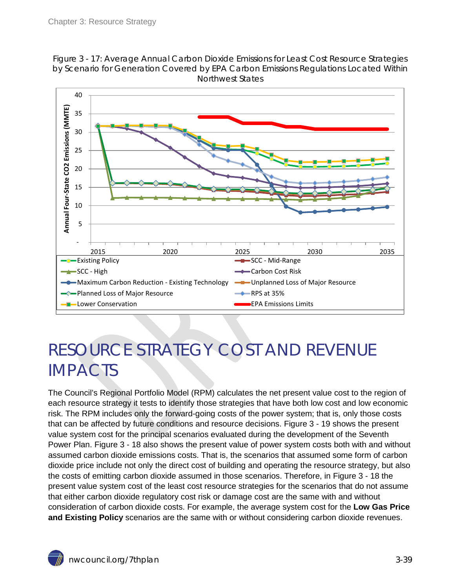<span id="page-38-1"></span>Figure 3 - 17: Average Annual Carbon Dioxide Emissions for Least Cost Resource Strategies by Scenario for Generation Covered by EPA Carbon Emissions Regulations Located Within Northwest States

![](_page_38_Figure_2.jpeg)

### <span id="page-38-0"></span>RESOURCE STRATEGY COST AND REVENUE IMPACTS

The Council's Regional Portfolio Model (RPM) calculates the net present value cost to the region of each resource strategy it tests to identify those strategies that have both low cost and low economic risk. The RPM includes only the forward-going costs of the power system; that is, only those costs that can be affected by future conditions and resource decisions. Figure 3 - 19 shows the present value system cost for the principal scenarios evaluated during the development of the Seventh Power Plan. Figure 3 - 18 also shows the present value of power system costs both with and without assumed carbon dioxide emissions costs. That is, the scenarios that assumed some form of carbon dioxide price include not only the direct cost of building and operating the resource strategy, but also the costs of emitting carbon dioxide assumed in those scenarios. Therefore, in Figure 3 - 18 the present value system cost of the least cost resource strategies for the scenarios that do not assume that either carbon dioxide regulatory cost risk or damage cost are the same with and without consideration of carbon dioxide costs. For example, the average system cost for the **Low Gas Price and Existing Policy** scenarios are the same with or without considering carbon dioxide revenues.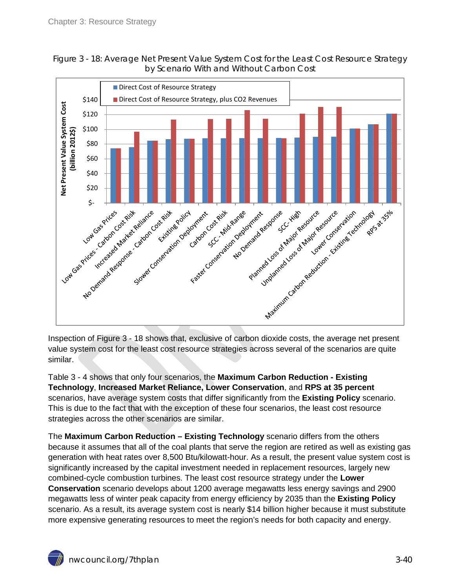<span id="page-39-0"></span>Figure 3 - 18: Average Net Present Value System Cost for the Least Cost Resource Strategy by Scenario With and Without Carbon Cost

![](_page_39_Figure_2.jpeg)

Inspection of Figure 3 - 18 shows that, exclusive of carbon dioxide costs, the average net present value system cost for the least cost resource strategies across several of the scenarios are quite similar.

Table 3 - 4 shows that only four scenarios, the **Maximum Carbon Reduction - Existing Technology**, **Increased Market Reliance, Lower Conservation**, and **RPS at 35 percent**  scenarios, have average system costs that differ significantly from the **Existing Policy** scenario. This is due to the fact that with the exception of these four scenarios, the least cost resource strategies across the other scenarios are similar.

The **Maximum Carbon Reduction – Existing Technology** scenario differs from the others because it assumes that all of the coal plants that serve the region are retired as well as existing gas generation with heat rates over 8,500 Btu/kilowatt-hour. As a result, the present value system cost is significantly increased by the capital investment needed in replacement resources, largely new combined-cycle combustion turbines. The least cost resource strategy under the **Lower Conservation** scenario develops about 1200 average megawatts less energy savings and 2900 megawatts less of winter peak capacity from energy efficiency by 2035 than the **Existing Policy** scenario. As a result, its average system cost is nearly \$14 billion higher because it must substitute more expensive generating resources to meet the region's needs for both capacity and energy.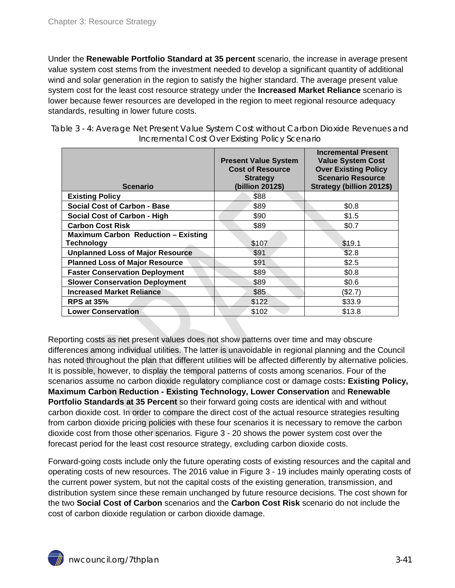Under the **Renewable Portfolio Standard at 35 percent** scenario, the increase in average present value system cost stems from the investment needed to develop a significant quantity of additional wind and solar generation in the region to satisfy the higher standard. The average present value system cost for the least cost resource strategy under the **Increased Market Reliance** scenario is lower because fewer resources are developed in the region to meet regional resource adequacy standards, resulting in lower future costs.

| <b>Scenario</b>                                          | <b>Present Value System</b><br><b>Cost of Resource</b><br><b>Strategy</b><br>(billion 2012\$) | <b>Incremental Present</b><br><b>Value System Cost</b><br><b>Over Existing Policy</b><br><b>Scenario Resource</b><br>Strategy (billion 2012\$) |
|----------------------------------------------------------|-----------------------------------------------------------------------------------------------|------------------------------------------------------------------------------------------------------------------------------------------------|
| <b>Existing Policy</b>                                   | \$88                                                                                          |                                                                                                                                                |
| <b>Social Cost of Carbon - Base</b>                      | \$89                                                                                          | \$0.8                                                                                                                                          |
| <b>Social Cost of Carbon - High</b>                      | \$90                                                                                          | \$1.5                                                                                                                                          |
| <b>Carbon Cost Risk</b>                                  | \$89                                                                                          | \$0.7                                                                                                                                          |
| <b>Maximum Carbon Reduction - Existing</b><br>Technology | \$107                                                                                         | \$19.1                                                                                                                                         |
| <b>Unplanned Loss of Major Resource</b>                  | \$91                                                                                          | \$2.8                                                                                                                                          |
| <b>Planned Loss of Major Resource</b>                    | \$91                                                                                          | \$2.5                                                                                                                                          |
| <b>Faster Conservation Deployment</b>                    | \$89                                                                                          | \$0.8                                                                                                                                          |
| <b>Slower Conservation Deployment</b>                    | \$89                                                                                          | \$0.6                                                                                                                                          |
| <b>Increased Market Reliance</b>                         | \$85                                                                                          | (\$2.7)                                                                                                                                        |
| <b>RPS at 35%</b>                                        | \$122                                                                                         | \$33.9                                                                                                                                         |
| <b>Lower Conservation</b>                                | \$102                                                                                         | \$13.8                                                                                                                                         |

<span id="page-40-0"></span>Table 3 - 4: Average Net Present Value System Cost without Carbon Dioxide Revenues and Incremental Cost Over Existing Policy Scenario

Reporting costs as net present values does not show patterns over time and may obscure differences among individual utilities. The latter is unavoidable in regional planning and the Council has noted throughout the plan that different utilities will be affected differently by alternative policies. It is possible, however, to display the temporal patterns of costs among scenarios. Four of the scenarios assume no carbon dioxide regulatory compliance cost or damage costs**: Existing Policy, Maximum Carbon Reduction - Existing Technology, Lower Conservation** and **Renewable Portfolio Standards at 35 Percent** so their forward going costs are identical with and without carbon dioxide cost. In order to compare the direct cost of the actual resource strategies resulting from carbon dioxide pricing policies with these four scenarios it is necessary to remove the carbon dioxide cost from those other scenarios. Figure 3 - 20 shows the power system cost over the forecast period for the least cost resource strategy, excluding carbon dioxide costs.

Forward-going costs include only the future operating costs of existing resources and the capital and operating costs of new resources. The 2016 value in Figure 3 - 19 includes mainly operating costs of the current power system, but not the capital costs of the existing generation, transmission, and distribution system since these remain unchanged by future resource decisions. The cost shown for the two **Social Cost of Carbon** scenarios and the **Carbon Cost Risk** scenario do not include the cost of carbon dioxide regulation or carbon dioxide damage.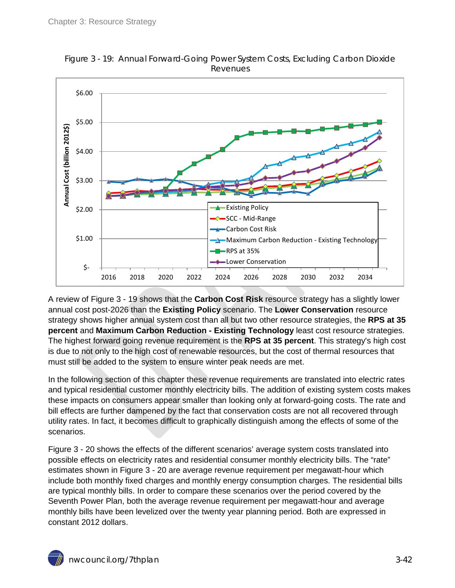![](_page_41_Figure_1.jpeg)

<span id="page-41-0"></span>Figure 3 - 19: Annual Forward-Going Power System Costs, Excluding Carbon Dioxide Revenues

A review of Figure 3 - 19 shows that the **Carbon Cost Risk** resource strategy has a slightly lower annual cost post-2026 than the **Existing Policy** scenario. The **Lower Conservation** resource strategy shows higher annual system cost than all but two other resource strategies, the **RPS at 35 percent** and **Maximum Carbon Reduction - Existing Technology** least cost resource strategies. The highest forward going revenue requirement is the **RPS at 35 percent**. This strategy's high cost is due to not only to the high cost of renewable resources, but the cost of thermal resources that must still be added to the system to ensure winter peak needs are met.

In the following section of this chapter these revenue requirements are translated into electric rates and typical residential customer monthly electricity bills. The addition of existing system costs makes these impacts on consumers appear smaller than looking only at forward-going costs. The rate and bill effects are further dampened by the fact that conservation costs are not all recovered through utility rates. In fact, it becomes difficult to graphically distinguish among the effects of some of the scenarios.

Figure 3 - 20 shows the effects of the different scenarios' average system costs translated into possible effects on electricity rates and residential consumer monthly electricity bills. The "rate" estimates shown in Figure 3 - 20 are average revenue requirement per megawatt-hour which include both monthly fixed charges and monthly energy consumption charges. The residential bills are typical monthly bills. In order to compare these scenarios over the period covered by the Seventh Power Plan, both the average revenue requirement per megawatt-hour and average monthly bills have been levelized over the twenty year planning period. Both are expressed in constant 2012 dollars.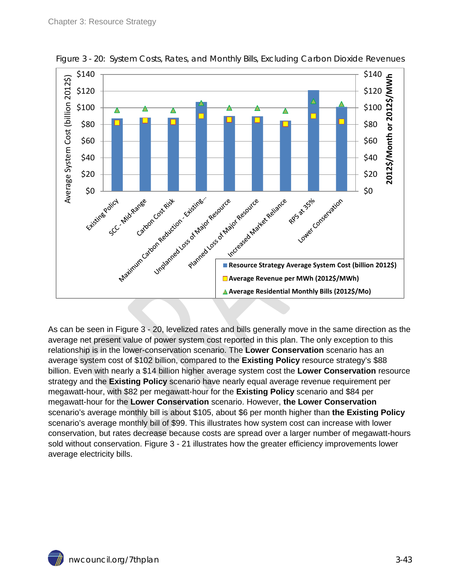![](_page_42_Figure_1.jpeg)

<span id="page-42-0"></span>Figure 3 - 20: System Costs, Rates, and Monthly Bills, Excluding Carbon Dioxide Revenues

As can be seen in Figure 3 - 20, levelized rates and bills generally move in the same direction as the average net present value of power system cost reported in this plan. The only exception to this relationship is in the lower-conservation scenario. The **Lower Conservation** scenario has an average system cost of \$102 billion, compared to the **Existing Policy** resource strategy's \$88 billion. Even with nearly a \$14 billion higher average system cost the **Lower Conservation** resource strategy and the **Existing Policy** scenario have nearly equal average revenue requirement per megawatt-hour, with \$82 per megawatt-hour for the **Existing Policy** scenario and \$84 per megawatt-hour for the **Lower Conservation** scenario. However, **the Lower Conservation** scenario's average monthly bill is about \$105, about \$6 per month higher than **the Existing Policy** scenario's average monthly bill of \$99. This illustrates how system cost can increase with lower conservation, but rates decrease because costs are spread over a larger number of megawatt-hours sold without conservation. Figure 3 - 21 illustrates how the greater efficiency improvements lower average electricity bills.